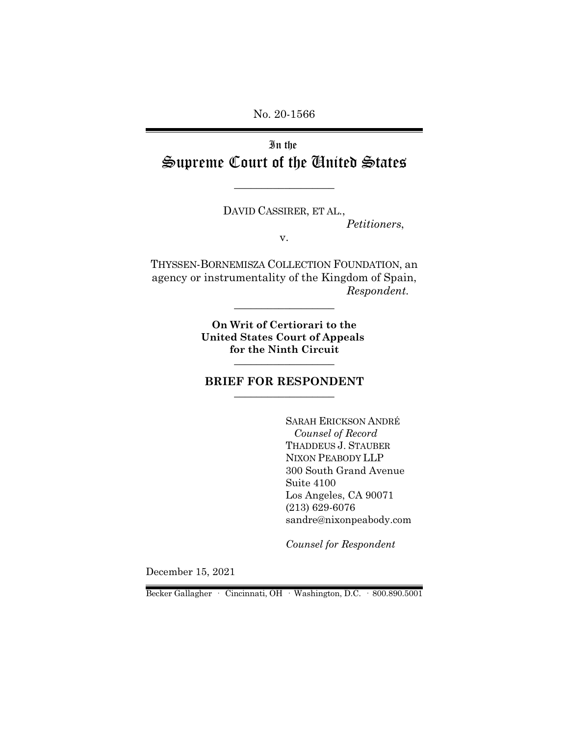No. 20-1566

In the Supreme Court of the United States

\_\_\_\_\_\_\_\_\_\_\_\_\_\_\_\_\_\_

DAVID CASSIRER, ET AL., *Petitioners*, v.

THYSSEN-BORNEMISZA COLLECTION FOUNDATION, an agency or instrumentality of the Kingdom of Spain, *Respondent.*

\_\_\_\_\_\_\_\_\_\_\_\_\_\_\_\_\_\_

**On Writ of Certiorari to the United States Court of Appeals for the Ninth Circuit** \_\_\_\_\_\_\_\_\_\_\_\_\_\_\_\_\_\_

#### **BRIEF FOR RESPONDENT** \_\_\_\_\_\_\_\_\_\_\_\_\_\_\_\_\_\_

SARAH ERICKSON ANDRÉ *Counsel of Record*  THADDEUS J. STAUBER NIXON PEABODY LLP 300 South Grand Avenue Suite 4100 Los Angeles, CA 90071 (213) 629-6076 sandre@nixonpeabody.com

*Counsel for Respondent*

December 15, 2021

Becker Gallagher · Cincinnati, OH · Washington, D.C. · 800.890.5001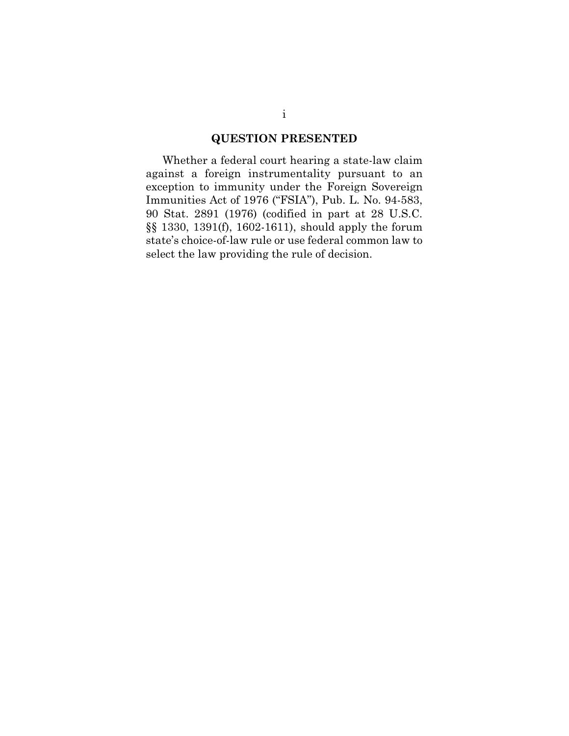## **QUESTION PRESENTED**

Whether a federal court hearing a state-law claim against a foreign instrumentality pursuant to an exception to immunity under the Foreign Sovereign Immunities Act of 1976 ("FSIA"), Pub. L. No. 94-583, 90 Stat. 2891 (1976) (codified in part at 28 U.S.C. §§ 1330, 1391(f), 1602-1611), should apply the forum state's choice-of-law rule or use federal common law to select the law providing the rule of decision.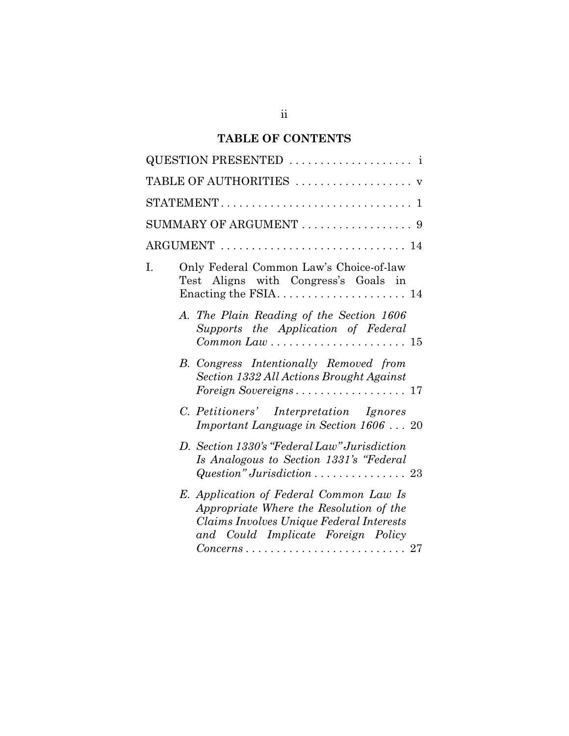# **TABLE OF CONTENTS**

|    | TABLE OF AUTHORITIES  v                                                                                                                                                                                                                              |
|----|------------------------------------------------------------------------------------------------------------------------------------------------------------------------------------------------------------------------------------------------------|
|    |                                                                                                                                                                                                                                                      |
|    | SUMMARY OF ARGUMENT $\ldots \ldots \ldots \ldots \ldots$ 9                                                                                                                                                                                           |
|    | $\text{ARGUMENT}$ 14                                                                                                                                                                                                                                 |
| I. | Only Federal Common Law's Choice-of-law<br>Test Aligns with Congress's Goals in                                                                                                                                                                      |
|    | A. The Plain Reading of the Section 1606<br>Supports the Application of Federal<br>$Common Law \ldots \ldots \ldots \ldots \ldots \ldots 15$                                                                                                         |
|    | B. Congress Intentionally Removed from<br>Section 1332 All Actions Brought Against<br>Foreign Sovereigns 17                                                                                                                                          |
|    | C. Petitioners' Interpretation Ignores<br>Important Language in Section 1606  20                                                                                                                                                                     |
|    | D. Section 1330's "Federal Law" Jurisdiction<br>Is Analogous to Section 1331's "Federal<br>$Question$ " Jurisdiction  23                                                                                                                             |
|    | E. Application of Federal Common Law Is<br>Appropriate Where the Resolution of the<br>Claims Involves Unique Federal Interests<br>and Could Implicate Foreign Policy<br>$Concerns \ldots \ldots \ldots \ldots \ldots \ldots \ldots \ldots \ldots 27$ |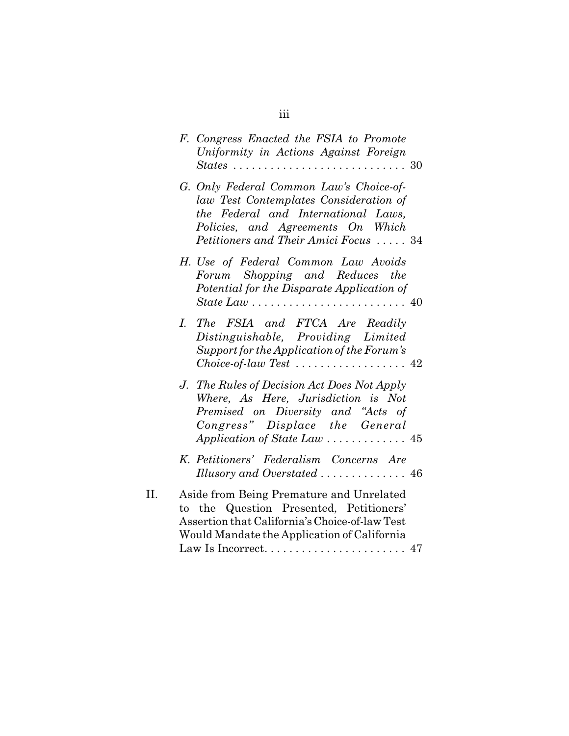|     | F. Congress Enacted the FSIA to Promote<br>Uniformity in Actions Against Foreign<br>$States \ldots \ldots \ldots \ldots \ldots \ldots \ldots \ldots 30$                                                |
|-----|--------------------------------------------------------------------------------------------------------------------------------------------------------------------------------------------------------|
|     | G. Only Federal Common Law's Choice-of-<br>law Test Contemplates Consideration of<br>the Federal and International Laws,<br>Policies, and Agreements On Which<br>Petitioners and Their Amici Focus  34 |
|     | H. Use of Federal Common Law Avoids<br>Forum Shopping and Reduces the<br>Potential for the Disparate Application of                                                                                    |
|     | I. The FSIA and FTCA Are Readily<br>Distinguishable, Providing Limited<br>Support for the Application of the Forum's                                                                                   |
|     | J. The Rules of Decision Act Does Not Apply<br>Where, As Here, Jurisdiction is Not<br>Premised on Diversity and "Acts of<br>Congress" Displace the General<br>Application of State Law  45             |
|     | K. Petitioners' Federalism Concerns Are<br>Illusory and Overstated  46                                                                                                                                 |
| II. | Aside from Being Premature and Unrelated<br>to the Question Presented, Petitioners'<br>Assertion that California's Choice-of-law Test<br>Would Mandate the Application of California                   |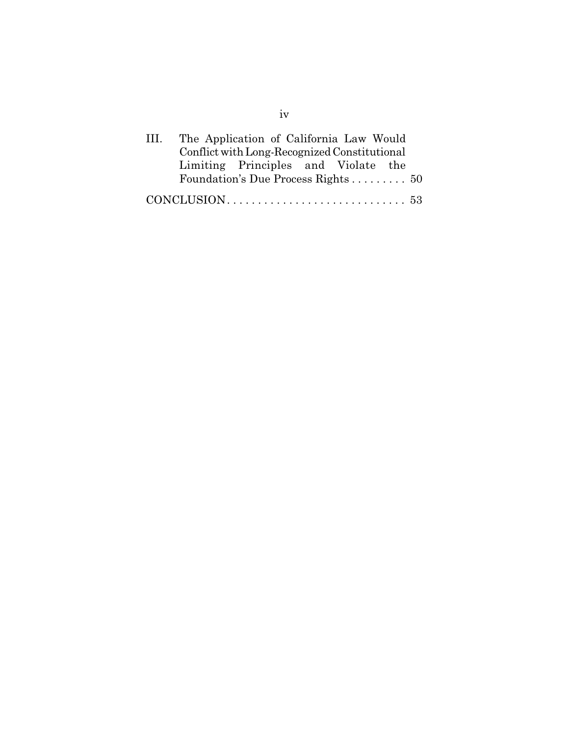| HL. | The Application of California Law Would      |  |  |
|-----|----------------------------------------------|--|--|
|     | Conflict with Long-Recognized Constitutional |  |  |
|     | Limiting Principles and Violate the          |  |  |
|     | Foundation's Due Process Rights 50           |  |  |
|     |                                              |  |  |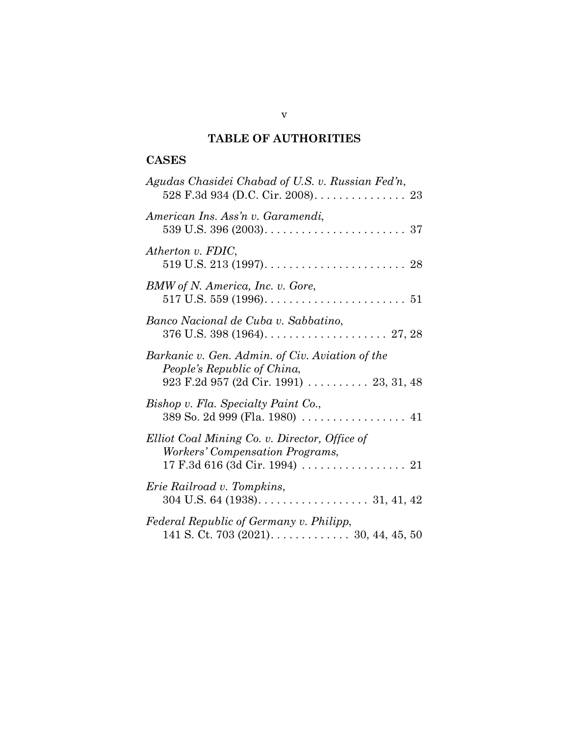# **TABLE OF AUTHORITIES**

# **CASES**

| Agudas Chasidei Chabad of U.S. v. Russian Fed'n,<br>528 F.3d 934 (D.C. Cir. 2008). 23                                     |
|---------------------------------------------------------------------------------------------------------------------------|
| American Ins. Ass'n v. Garamendi,                                                                                         |
| Atherton v. FDIC,                                                                                                         |
| BMW of N. America, Inc. v. Gore,                                                                                          |
| Banco Nacional de Cuba v. Sabbatino,                                                                                      |
| Barkanic v. Gen. Admin. of Civ. Aviation of the<br>People's Republic of China,<br>923 F.2d 957 (2d Cir. 1991)  23, 31, 48 |
| Bishop v. Fla. Specialty Paint Co.,<br>389 So. 2d 999 (Fla. 1980)  41                                                     |
| Elliot Coal Mining Co. v. Director, Office of<br>Workers' Compensation Programs,                                          |
| <i>Erie Railroad v. Tompkins,</i>                                                                                         |
| Federal Republic of Germany v. Philipp,<br>141 S. Ct. 703 (2021). 30, 44, 45, 50                                          |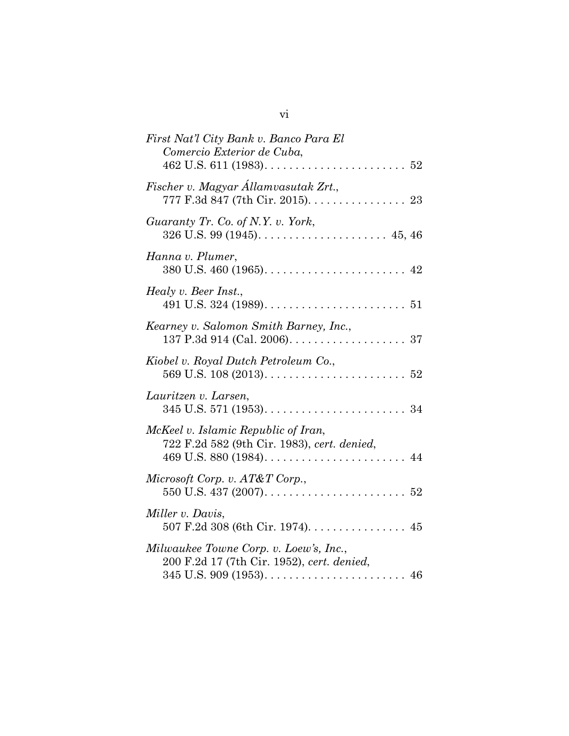| Fischer v. Magyar Államvasutak Zrt.,<br>777 F.3d 847 (7th Cir. 2015). 23<br>Guaranty Tr. Co. of N.Y. v. York,<br>Hanna v. Plumer,<br>Healy v. Beer Inst.,<br>Kearney v. Salomon Smith Barney, Inc.,<br>Kiobel v. Royal Dutch Petroleum Co.,<br>Lauritzen v. Larsen,<br>McKeel v. Islamic Republic of Iran,<br>722 F.2d 582 (9th Cir. 1983), cert. denied,<br>Microsoft Corp. v. AT&T Corp.,<br>Miller v. Davis,<br>507 F.2d 308 (6th Cir. 1974). 45<br>Milwaukee Towne Corp. v. Loew's, Inc.,<br>200 F.2d 17 (7th Cir. 1952), cert. denied, | First Nat'l City Bank v. Banco Para El<br>Comercio Exterior de Cuba,<br>462 U.S. 611 (1983). $\ldots \ldots \ldots \ldots \ldots \ldots \ldots 52$ |
|---------------------------------------------------------------------------------------------------------------------------------------------------------------------------------------------------------------------------------------------------------------------------------------------------------------------------------------------------------------------------------------------------------------------------------------------------------------------------------------------------------------------------------------------|----------------------------------------------------------------------------------------------------------------------------------------------------|
|                                                                                                                                                                                                                                                                                                                                                                                                                                                                                                                                             |                                                                                                                                                    |
|                                                                                                                                                                                                                                                                                                                                                                                                                                                                                                                                             |                                                                                                                                                    |
|                                                                                                                                                                                                                                                                                                                                                                                                                                                                                                                                             |                                                                                                                                                    |
|                                                                                                                                                                                                                                                                                                                                                                                                                                                                                                                                             |                                                                                                                                                    |
|                                                                                                                                                                                                                                                                                                                                                                                                                                                                                                                                             |                                                                                                                                                    |
|                                                                                                                                                                                                                                                                                                                                                                                                                                                                                                                                             |                                                                                                                                                    |
|                                                                                                                                                                                                                                                                                                                                                                                                                                                                                                                                             |                                                                                                                                                    |
|                                                                                                                                                                                                                                                                                                                                                                                                                                                                                                                                             |                                                                                                                                                    |
|                                                                                                                                                                                                                                                                                                                                                                                                                                                                                                                                             |                                                                                                                                                    |
|                                                                                                                                                                                                                                                                                                                                                                                                                                                                                                                                             |                                                                                                                                                    |
|                                                                                                                                                                                                                                                                                                                                                                                                                                                                                                                                             |                                                                                                                                                    |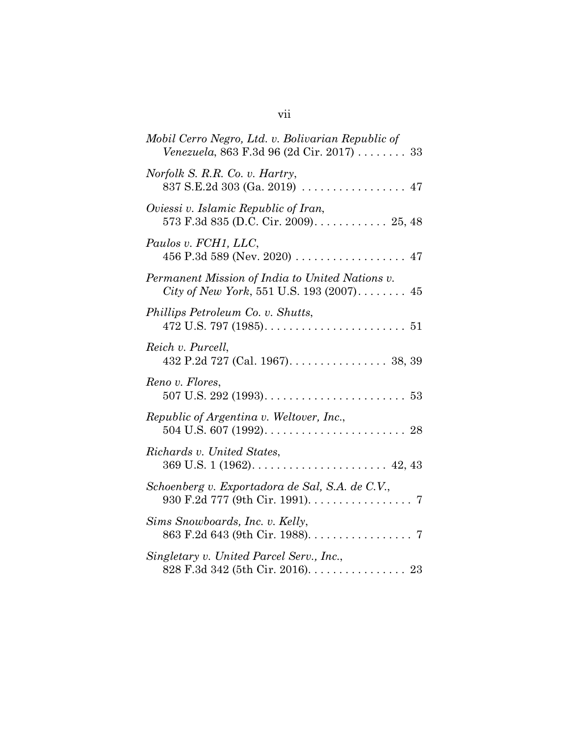| Mobil Cerro Negro, Ltd. v. Bolivarian Republic of<br>Venezuela, 863 F.3d 96 (2d Cir. 2017)  33                             |
|----------------------------------------------------------------------------------------------------------------------------|
| Norfolk S. R.R. Co. v. Hartry,<br>837 S.E.2d 303 (Ga. 2019) $\ldots \ldots \ldots \ldots \ldots$ 47                        |
| Oviessi v. Islamic Republic of Iran,<br>573 F.3d 835 (D.C. Cir. 2009) 25, 48                                               |
| Paulos v. FCH1, LLC,                                                                                                       |
| Permanent Mission of India to United Nations v.<br>City of New York, 551 U.S. 193 (2007) 45                                |
| Phillips Petroleum Co. v. Shutts,<br>472 U.S. 797 (1985). $\dots \dots \dots \dots \dots \dots \dots \dots \dots \dots$ 51 |
| Reich v. Purcell,<br>432 P.2d 727 (Cal. 1967). $\dots \dots \dots \dots \dots$ 38, 39                                      |
| Reno v. Flores,                                                                                                            |
| Republic of Argentina v. Weltover, Inc.,                                                                                   |
| Richards v. United States,                                                                                                 |
| Schoenberg v. Exportadora de Sal, S.A. de C.V.,<br>930 F.2d 777 (9th Cir. 1991). 7                                         |
| Sims Snowboards, Inc. v. Kelly,<br>863 F.2d 643 (9th Cir. 1988). 7                                                         |
| Singletary v. United Parcel Serv., Inc.,<br>828 F.3d 342 (5th Cir. 2016). 23                                               |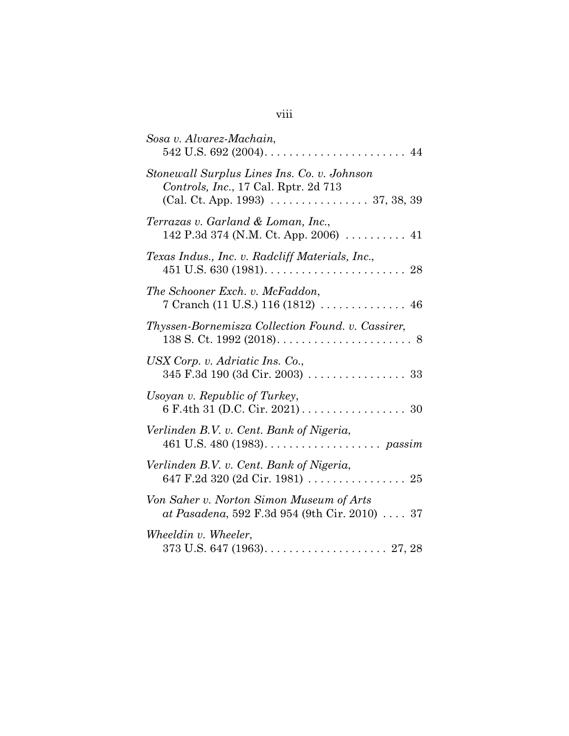| Sosa v. Alvarez-Machain,                                                                                                                                           |
|--------------------------------------------------------------------------------------------------------------------------------------------------------------------|
| Stonewall Surplus Lines Ins. Co. v. Johnson<br>Controls, Inc., 17 Cal. Rptr. 2d 713<br>(Cal. Ct. App. 1993) $\ldots \ldots \ldots \ldots \ldots \ldots$ 37, 38, 39 |
| Terrazas v. Garland & Loman, Inc.,<br>142 P.3d 374 (N.M. Ct. App. 2006) $\ldots$ 41                                                                                |
| Texas Indus., Inc. v. Radcliff Materials, Inc.,                                                                                                                    |
| The Schooner Exch. v. McFaddon,<br>7 Cranch (11 U.S.) 116 (1812)  46                                                                                               |
| Thyssen-Bornemisza Collection Found. v. Cassirer,                                                                                                                  |
| USX Corp. v. Adriatic Ins. Co.,<br>345 F.3d 190 (3d Cir. 2003)  33                                                                                                 |
| Usoyan v. Republic of Turkey,                                                                                                                                      |
| Verlinden B.V. v. Cent. Bank of Nigeria,                                                                                                                           |
| Verlinden B.V. v. Cent. Bank of Nigeria,<br>647 F.2d 320 (2d Cir. 1981)  25                                                                                        |
| Von Saher v. Norton Simon Museum of Arts<br>at Pasadena, 592 F.3d 954 (9th Cir. 2010) 37                                                                           |
| Wheeldin v. Wheeler,                                                                                                                                               |

# viii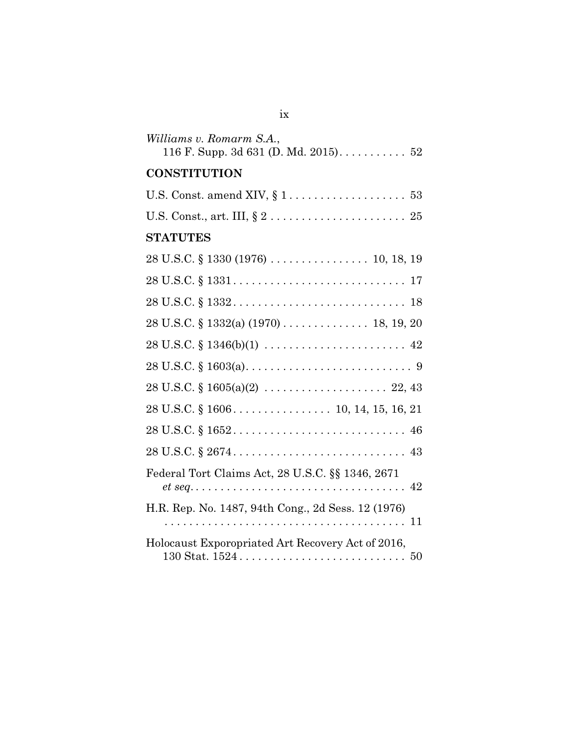| Williams v. Romarm S.A.,<br>116 F. Supp. 3d 631 (D. Md. 2015). $\dots \dots \dots 52$                                                                   |
|---------------------------------------------------------------------------------------------------------------------------------------------------------|
| <b>CONSTITUTION</b>                                                                                                                                     |
|                                                                                                                                                         |
|                                                                                                                                                         |
| <b>STATUTES</b>                                                                                                                                         |
|                                                                                                                                                         |
|                                                                                                                                                         |
|                                                                                                                                                         |
|                                                                                                                                                         |
| $28 \text{ U.S.C.} \S 1346(b)(1) \ldots \ldots \ldots \ldots \ldots \ldots \ldots \ldots \quad 42$                                                      |
| $28 \text{ U.S.C.} \S 1603(a) \ldots \ldots \ldots \ldots \ldots \ldots \ldots \ldots \ldots \ldots \ldots \ldots \ldots$                               |
| $28 \text{ U.S.C.} \S 1605(a)(2) \ldots \ldots \ldots \ldots \ldots \ldots \ldots 22, 43$                                                               |
|                                                                                                                                                         |
|                                                                                                                                                         |
|                                                                                                                                                         |
| Federal Tort Claims Act, 28 U.S.C. §§ 1346, 2671                                                                                                        |
| H.R. Rep. No. 1487, 94th Cong., 2d Sess. 12 (1976)                                                                                                      |
| Holocaust Exporopriated Art Recovery Act of 2016,<br>$130 \text{ Stat. } 1524 \ldots \ldots \ldots \ldots \ldots \ldots \ldots \ldots \ldots \ldots 50$ |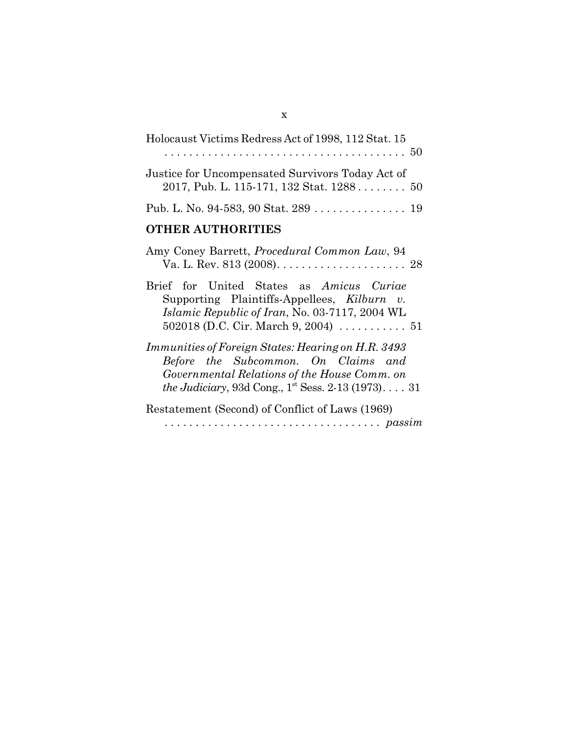| Holocaust Victims Redress Act of 1998, 112 Stat. 15                                                                                                                                                                  |
|----------------------------------------------------------------------------------------------------------------------------------------------------------------------------------------------------------------------|
| Justice for Uncompensated Survivors Today Act of<br>2017, Pub. L. 115-171, 132 Stat. 1288 50                                                                                                                         |
| Pub. L. No. 94-583, 90 Stat. 289 19                                                                                                                                                                                  |
| <b>OTHER AUTHORITIES</b>                                                                                                                                                                                             |
| Amy Coney Barrett, <i>Procedural Common Law</i> , 94<br>Va. L. Rev. 813 (2008). $\dots \dots \dots \dots \dots \dots \dots \dots$ 28                                                                                 |
| Brief for United States as Amicus Curiae<br>Supporting Plaintiffs-Appellees, Kilburn v.<br><i>Islamic Republic of Iran, No.</i> 03-7117, 2004 WL                                                                     |
| <i>Immunities of Foreign States: Hearing on H.R. 3493</i><br>Before the Subcommon. On Claims and<br>Governmental Relations of the House Comm. on<br><i>the Judiciary</i> , 93d Cong., $1^{st}$ Sess. 2-13 (1973). 31 |
| Restatement (Second) of Conflict of Laws (1969)                                                                                                                                                                      |
| $\ldots \ldots \ldots \ldots \ldots \ldots \ldots \ldots \ldots \ldots \text{passim}$                                                                                                                                |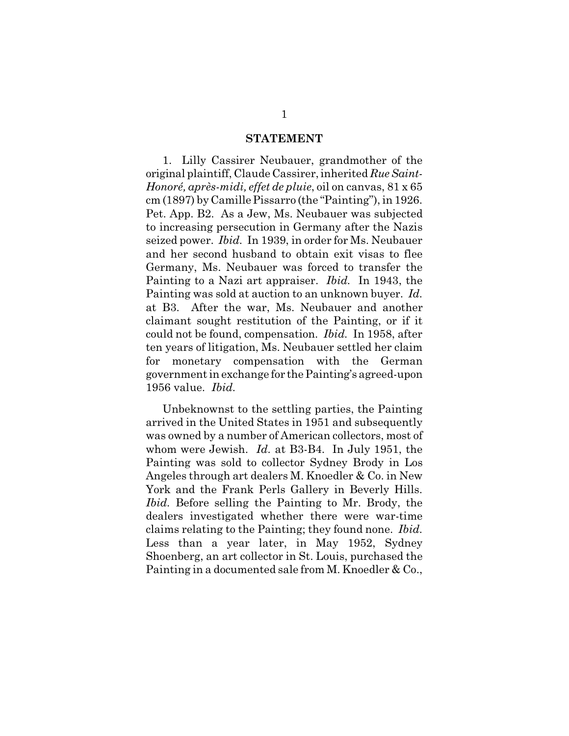#### **STATEMENT**

1. Lilly Cassirer Neubauer, grandmother of the original plaintiff, Claude Cassirer, inherited *RueSaint-Honoré, après-midi, effet de pluie*, oil on canvas, 81 x 65 cm (1897) by CamillePissarro (the "Painting"), in 1926. Pet. App. B2. As a Jew, Ms. Neubauer was subjected to increasing persecution in Germany after the Nazis seized power. *Ibid.* In 1939, in order for Ms. Neubauer and her second husband to obtain exit visas to flee Germany, Ms. Neubauer was forced to transfer the Painting to a Nazi art appraiser. *Ibid.* In 1943, the Painting was sold at auction to an unknown buyer. *Id.* at B3. After the war, Ms. Neubauer and another claimant sought restitution of the Painting, or if it could not be found, compensation. *Ibid.* In 1958, after ten years of litigation, Ms. Neubauer settled her claim for monetary compensation with the German government in exchange for the Painting's agreed-upon 1956 value. *Ibid.*

Unbeknownst to the settling parties, the Painting arrived in the United States in 1951 and subsequently was owned by a number of American collectors, most of whom were Jewish. *Id.* at B3-B4. In July 1951, the Painting was sold to collector Sydney Brody in Los Angeles through art dealers M. Knoedler & Co. in New York and the Frank Perls Gallery in Beverly Hills. *Ibid.* Before selling the Painting to Mr. Brody, the dealers investigated whether there were war-time claims relating to the Painting; they found none. *Ibid.*  Less than a year later, in May 1952, Sydney Shoenberg, an art collector in St. Louis, purchased the Painting in a documented sale from M. Knoedler & Co.,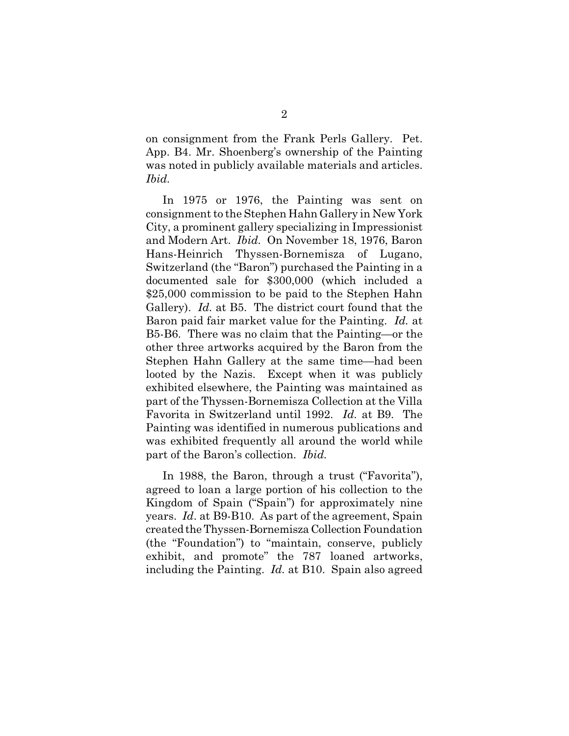on consignment from the Frank Perls Gallery. Pet. App. B4. Mr. Shoenberg's ownership of the Painting was noted in publicly available materials and articles. *Ibid.* 

In 1975 or 1976, the Painting was sent on consignment to the Stephen Hahn Gallery in New York City, a prominent gallery specializing in Impressionist and Modern Art. *Ibid.* On November 18, 1976, Baron Hans-Heinrich Thyssen-Bornemisza of Lugano, Switzerland (the "Baron") purchased the Painting in a documented sale for \$300,000 (which included a \$25,000 commission to be paid to the Stephen Hahn Gallery). *Id.* at B5. The district court found that the Baron paid fair market value for the Painting. *Id.* at B5-B6. There was no claim that the Painting—or the other three artworks acquired by the Baron from the Stephen Hahn Gallery at the same time—had been looted by the Nazis. Except when it was publicly exhibited elsewhere, the Painting was maintained as part of the Thyssen-Bornemisza Collection at the Villa Favorita in Switzerland until 1992. *Id.* at B9. The Painting was identified in numerous publications and was exhibited frequently all around the world while part of the Baron's collection. *Ibid.*

In 1988, the Baron, through a trust ("Favorita"), agreed to loan a large portion of his collection to the Kingdom of Spain ("Spain") for approximately nine years. *Id*. at B9-B10. As part of the agreement, Spain created the Thyssen-Bornemisza Collection Foundation (the "Foundation") to "maintain, conserve, publicly exhibit, and promote" the 787 loaned artworks, including the Painting. *Id.* at B10. Spain also agreed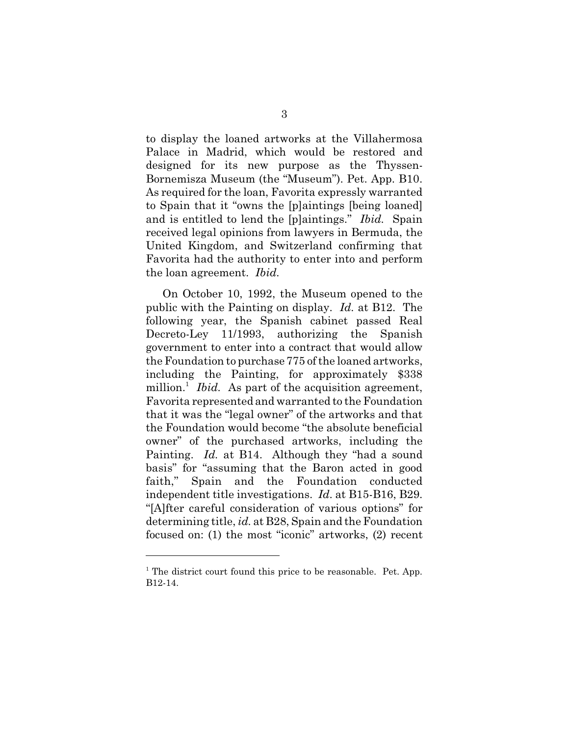to display the loaned artworks at the Villahermosa Palace in Madrid, which would be restored and designed for its new purpose as the Thyssen-Bornemisza Museum (the "Museum"). Pet. App. B10. As required for the loan, Favorita expressly warranted to Spain that it "owns the [p]aintings [being loaned] and is entitled to lend the [p]aintings." *Ibid.* Spain received legal opinions from lawyers in Bermuda, the United Kingdom, and Switzerland confirming that Favorita had the authority to enter into and perform the loan agreement. *Ibid.*

On October 10, 1992, the Museum opened to the public with the Painting on display. *Id.* at B12. The following year, the Spanish cabinet passed Real Decreto-Ley 11/1993, authorizing the Spanish government to enter into a contract that would allow the Foundation to purchase 775 of the loaned artworks, including the Painting, for approximately \$338 million.<sup>1</sup> *Ibid.* As part of the acquisition agreement, Favorita represented and warranted to the Foundation that it was the "legal owner" of the artworks and that the Foundation would become "the absolute beneficial owner" of the purchased artworks, including the Painting. *Id.* at B14. Although they "had a sound basis" for "assuming that the Baron acted in good faith," Spain and the Foundation conducted independent title investigations. *Id*. at B15-B16, B29. "[A]fter careful consideration of various options" for determining title, *id.* at B28, Spain and the Foundation focused on: (1) the most "iconic" artworks, (2) recent

<sup>&</sup>lt;sup>1</sup> The district court found this price to be reasonable. Pet. App. B12-14.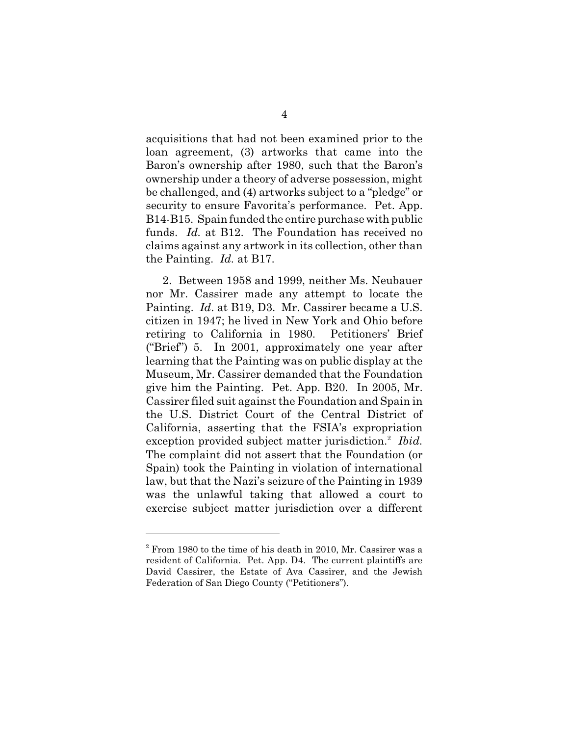acquisitions that had not been examined prior to the loan agreement, (3) artworks that came into the Baron's ownership after 1980, such that the Baron's ownership under a theory of adverse possession, might be challenged, and (4) artworks subject to a "pledge" or security to ensure Favorita's performance. Pet. App. B14-B15. Spain funded the entire purchase with public funds. *Id.* at B12. The Foundation has received no claims against any artwork in its collection, other than the Painting. *Id.* at B17.

2. Between 1958 and 1999, neither Ms. Neubauer nor Mr. Cassirer made any attempt to locate the Painting. *Id*. at B19, D3. Mr. Cassirer became a U.S. citizen in 1947; he lived in New York and Ohio before retiring to California in 1980. Petitioners' Brief ("Brief") 5. In 2001, approximately one year after learning that the Painting was on public display at the Museum, Mr. Cassirer demanded that the Foundation give him the Painting. Pet. App. B20*.* In 2005, Mr. Cassirer filed suit against the Foundation and Spain in the U.S. District Court of the Central District of California, asserting that the FSIA's expropriation exception provided subject matter jurisdiction.<sup>2</sup> Ibid. The complaint did not assert that the Foundation (or Spain) took the Painting in violation of international law, but that the Nazi's seizure of the Painting in 1939 was the unlawful taking that allowed a court to exercise subject matter jurisdiction over a different

 $2$  From 1980 to the time of his death in 2010, Mr. Cassirer was a resident of California. Pet. App. D4. The current plaintiffs are David Cassirer, the Estate of Ava Cassirer, and the Jewish Federation of San Diego County ("Petitioners").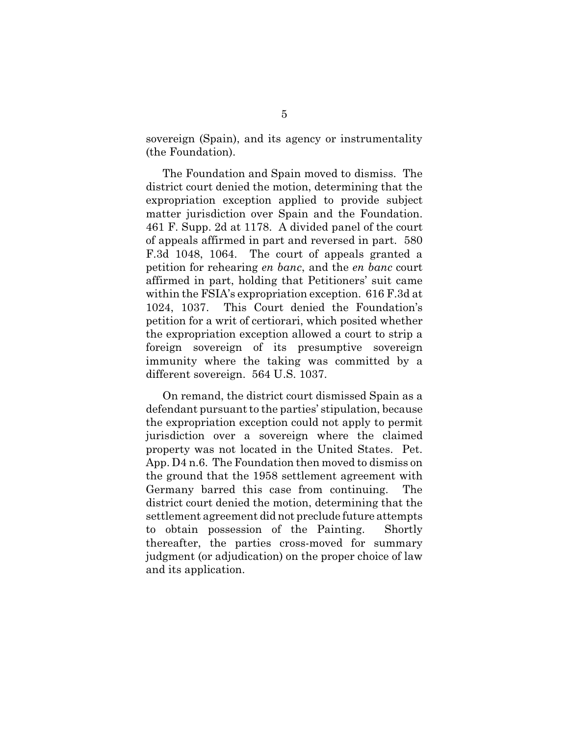sovereign (Spain), and its agency or instrumentality (the Foundation).

The Foundation and Spain moved to dismiss. The district court denied the motion, determining that the expropriation exception applied to provide subject matter jurisdiction over Spain and the Foundation. 461 F. Supp. 2d at 1178. A divided panel of the court of appeals affirmed in part and reversed in part. 580 F.3d 1048, 1064. The court of appeals granted a petition for rehearing *en banc*, and the *en banc* court affirmed in part, holding that Petitioners' suit came within the FSIA's expropriation exception. 616 F.3d at 1024, 1037. This Court denied the Foundation's petition for a writ of certiorari, which posited whether the expropriation exception allowed a court to strip a foreign sovereign of its presumptive sovereign immunity where the taking was committed by a different sovereign. 564 U.S. 1037.

On remand, the district court dismissed Spain as a defendant pursuant to the parties' stipulation, because the expropriation exception could not apply to permit jurisdiction over a sovereign where the claimed property was not located in the United States. Pet. App. D4 n.6. The Foundation then moved to dismiss on the ground that the 1958 settlement agreement with Germany barred this case from continuing. The district court denied the motion, determining that the settlement agreement did not preclude future attempts to obtain possession of the Painting. Shortly thereafter, the parties cross-moved for summary judgment (or adjudication) on the proper choice of law and its application.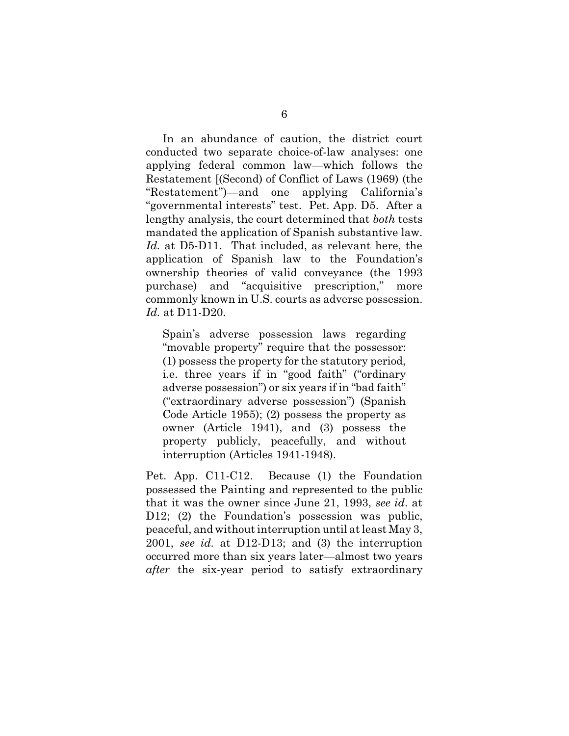In an abundance of caution, the district court conducted two separate choice-of-law analyses: one applying federal common law—which follows the Restatement [(Second) of Conflict of Laws (1969) (the "Restatement")—and one applying California's "governmental interests" test. Pet. App. D5. After a lengthy analysis, the court determined that *both* tests mandated the application of Spanish substantive law. *Id.* at D5-D11. That included, as relevant here, the application of Spanish law to the Foundation's ownership theories of valid conveyance (the 1993 purchase) and "acquisitive prescription," more commonly known in U.S. courts as adverse possession. *Id.* at D11-D20.

Spain's adverse possession laws regarding "movable property" require that the possessor: (1) possess the property for the statutory period, i.e. three years if in "good faith" ("ordinary adverse possession") or six years if in "bad faith" ("extraordinary adverse possession") (Spanish Code Article 1955); (2) possess the property as owner (Article 1941), and (3) possess the property publicly, peacefully, and without interruption (Articles 1941-1948).

Pet. App. C11-C12. Because (1) the Foundation possessed the Painting and represented to the public that it was the owner since June 21, 1993, *see id*. at D12; (2) the Foundation's possession was public, peaceful, and without interruption until at least May 3, 2001, *see id.* at D12-D13; and (3) the interruption occurred more than six years later—almost two years *after* the six-year period to satisfy extraordinary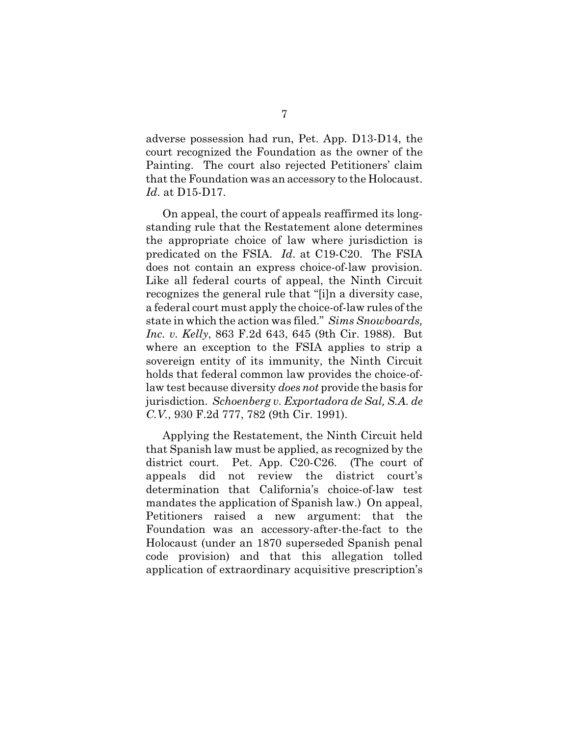adverse possession had run, Pet. App. D13-D14, the court recognized the Foundation as the owner of the Painting. The court also rejected Petitioners' claim that the Foundation was an accessory to the Holocaust. *Id*. at D15-D17.

On appeal, the court of appeals reaffirmed its longstanding rule that the Restatement alone determines the appropriate choice of law where jurisdiction is predicated on the FSIA. *Id*. at C19-C20. The FSIA does not contain an express choice-of-law provision. Like all federal courts of appeal, the Ninth Circuit recognizes the general rule that "[i]n a diversity case, a federal court must apply the choice-of-law rules of the state in which the action was filed." *Sims Snowboards, Inc. v. Kelly*, 863 F.2d 643, 645 (9th Cir. 1988). But where an exception to the FSIA applies to strip a sovereign entity of its immunity, the Ninth Circuit holds that federal common law provides the choice-oflaw test because diversity *does not* provide the basis for jurisdiction. *Schoenberg v. Exportadora de Sal, S.A. de C.V.*, 930 F.2d 777, 782 (9th Cir. 1991).

Applying the Restatement, the Ninth Circuit held that Spanish law must be applied, as recognized by the district court. Pet. App. C20-C26. (The court of appeals did not review the district court's determination that California's choice-of-law test mandates the application of Spanish law.) On appeal, Petitioners raised a new argument: that the Foundation was an accessory-after-the-fact to the Holocaust (under an 1870 superseded Spanish penal code provision) and that this allegation tolled application of extraordinary acquisitive prescription's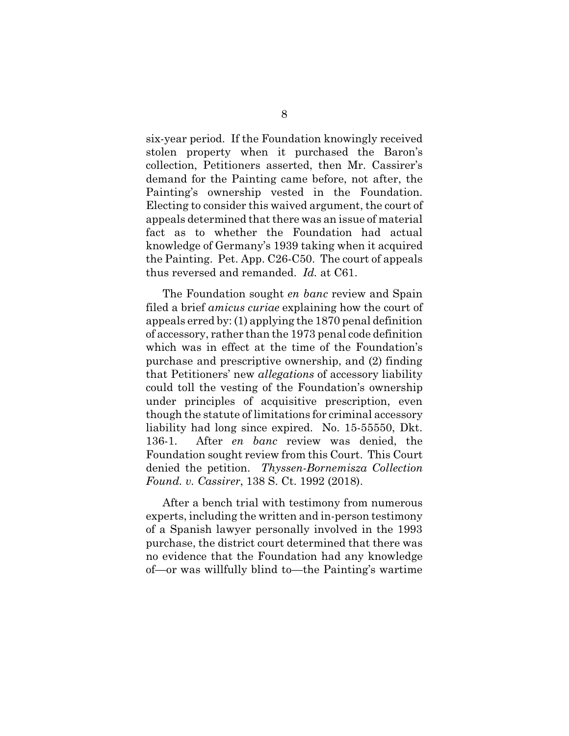six-year period. If the Foundation knowingly received stolen property when it purchased the Baron's collection, Petitioners asserted, then Mr. Cassirer's demand for the Painting came before, not after, the Painting's ownership vested in the Foundation. Electing to consider this waived argument, the court of appeals determined that there was an issue of material fact as to whether the Foundation had actual knowledge of Germany's 1939 taking when it acquired the Painting. Pet. App. C26-C50. The court of appeals thus reversed and remanded. *Id.* at C61.

The Foundation sought *en banc* review and Spain filed a brief *amicus curiae* explaining how the court of appeals erred by: (1) applying the 1870 penal definition of accessory, rather than the 1973 penal code definition which was in effect at the time of the Foundation's purchase and prescriptive ownership, and (2) finding that Petitioners' new *allegations* of accessory liability could toll the vesting of the Foundation's ownership under principles of acquisitive prescription, even though the statute of limitations for criminal accessory liability had long since expired. No. 15-55550, Dkt. 136-1. After *en banc* review was denied, the Foundation sought review from this Court. This Court denied the petition. *Thyssen-Bornemisza Collection Found. v. Cassirer*, 138 S. Ct. 1992 (2018).

After a bench trial with testimony from numerous experts, including the written and in-person testimony of a Spanish lawyer personally involved in the 1993 purchase, the district court determined that there was no evidence that the Foundation had any knowledge of—or was willfully blind to—the Painting's wartime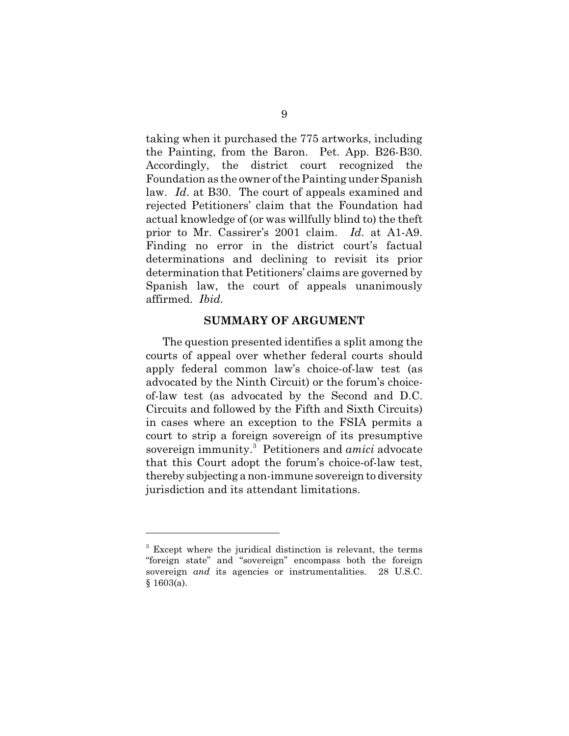taking when it purchased the 775 artworks, including the Painting, from the Baron. Pet. App. B26-B30. Accordingly, the district court recognized the Foundation as the owner of the Painting under Spanish law. *Id*. at B30. The court of appeals examined and rejected Petitioners' claim that the Foundation had actual knowledge of (or was willfully blind to) the theft prior to Mr. Cassirer's 2001 claim. *Id*. at A1-A9. Finding no error in the district court's factual determinations and declining to revisit its prior determination that Petitioners' claims are governed by Spanish law, the court of appeals unanimously affirmed. *Ibid.*

#### **SUMMARY OF ARGUMENT**

The question presented identifies a split among the courts of appeal over whether federal courts should apply federal common law's choice-of-law test (as advocated by the Ninth Circuit) or the forum's choiceof-law test (as advocated by the Second and D.C. Circuits and followed by the Fifth and Sixth Circuits) in cases where an exception to the FSIA permits a court to strip a foreign sovereign of its presumptive sovereign immunity. <sup>3</sup> Petitioners and *amici* advocate that this Court adopt the forum's choice-of-law test, thereby subjecting a non-immune sovereign to diversity jurisdiction and its attendant limitations.

<sup>&</sup>lt;sup>3</sup> Except where the juridical distinction is relevant, the terms "foreign state" and "sovereign" encompass both the foreign sovereign *and* its agencies or instrumentalities. 28 U.S.C.  $§ 1603(a).$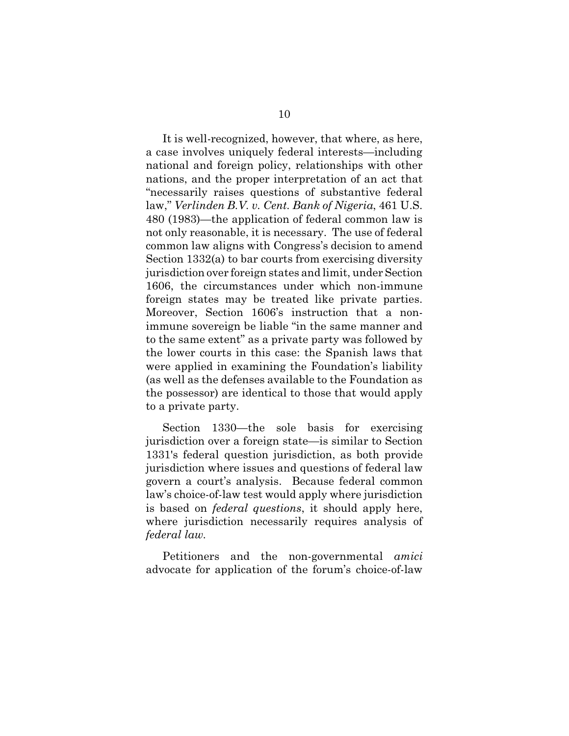It is well-recognized, however, that where, as here, a case involves uniquely federal interests—including national and foreign policy, relationships with other nations, and the proper interpretation of an act that "necessarily raises questions of substantive federal law," *Verlinden B.V. v. Cent. Bank of Nigeria*, 461 U.S. 480 (1983)—the application of federal common law is not only reasonable, it is necessary. The use of federal common law aligns with Congress's decision to amend Section 1332(a) to bar courts from exercising diversity jurisdiction over foreign states and limit, under Section 1606, the circumstances under which non-immune foreign states may be treated like private parties. Moreover, Section 1606's instruction that a nonimmune sovereign be liable "in the same manner and to the same extent" as a private party was followed by the lower courts in this case: the Spanish laws that were applied in examining the Foundation's liability (as well as the defenses available to the Foundation as the possessor) are identical to those that would apply to a private party.

Section 1330—the sole basis for exercising jurisdiction over a foreign state—is similar to Section 1331's federal question jurisdiction, as both provide jurisdiction where issues and questions of federal law govern a court's analysis. Because federal common law's choice-of-law test would apply where jurisdiction is based on *federal questions*, it should apply here, where jurisdiction necessarily requires analysis of *federal law*.

Petitioners and the non-governmental *amici* advocate for application of the forum's choice-of-law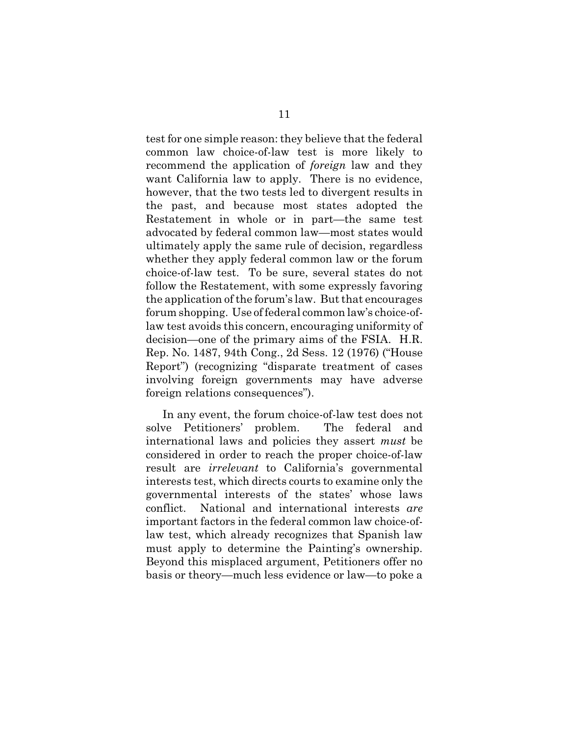test for one simple reason: they believe that the federal common law choice-of-law test is more likely to recommend the application of *foreign* law and they want California law to apply. There is no evidence, however, that the two tests led to divergent results in the past, and because most states adopted the Restatement in whole or in part—the same test advocated by federal common law—most states would ultimately apply the same rule of decision, regardless whether they apply federal common law or the forum choice-of-law test. To be sure, several states do not follow the Restatement, with some expressly favoring the application of the forum's law. But that encourages forum shopping. Use of federal common law's choice-oflaw test avoids this concern, encouraging uniformity of decision—one of the primary aims of the FSIA. H.R. Rep. No. 1487, 94th Cong., 2d Sess. 12 (1976) ("House Report") (recognizing "disparate treatment of cases involving foreign governments may have adverse foreign relations consequences").

In any event, the forum choice-of-law test does not solve Petitioners' problem. The federal and international laws and policies they assert *must* be considered in order to reach the proper choice-of-law result are *irrelevant* to California's governmental interests test, which directs courts to examine only the governmental interests of the states' whose laws conflict. National and international interests *are* important factors in the federal common law choice-oflaw test, which already recognizes that Spanish law must apply to determine the Painting's ownership. Beyond this misplaced argument, Petitioners offer no basis or theory—much less evidence or law—to poke a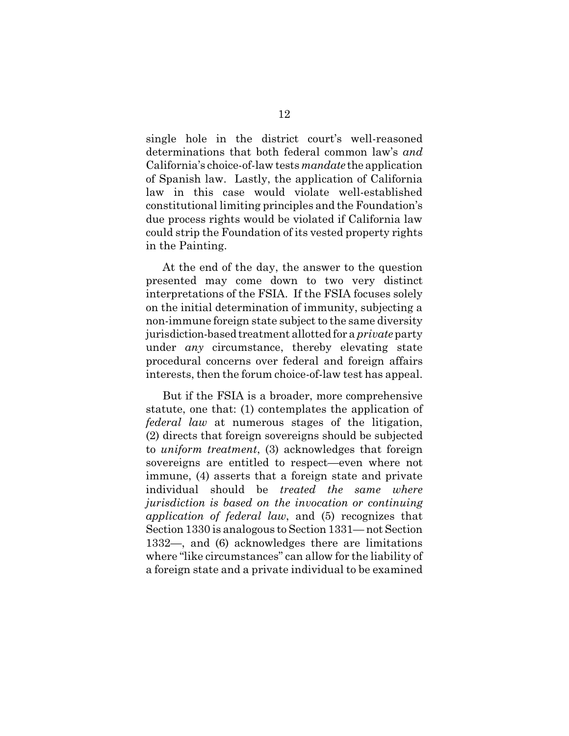single hole in the district court's well-reasoned determinations that both federal common law's *and* California's choice-of-law tests*mandate* the application of Spanish law. Lastly, the application of California law in this case would violate well-established constitutional limiting principles and the Foundation's due process rights would be violated if California law could strip the Foundation of its vested property rights in the Painting.

At the end of the day, the answer to the question presented may come down to two very distinct interpretations of the FSIA. If the FSIA focuses solely on the initial determination of immunity, subjecting a non-immune foreign state subject to the same diversity jurisdiction-based treatment allotted for a *private*party under *any* circumstance, thereby elevating state procedural concerns over federal and foreign affairs interests, then the forum choice-of-law test has appeal.

But if the FSIA is a broader, more comprehensive statute, one that: (1) contemplates the application of *federal law* at numerous stages of the litigation, (2) directs that foreign sovereigns should be subjected to *uniform treatment*, (3) acknowledges that foreign sovereigns are entitled to respect—even where not immune, (4) asserts that a foreign state and private individual should be *treated the same where jurisdiction is based on the invocation or continuing application of federal law*, and (5) recognizes that Section 1330 is analogous to Section 1331— not Section 1332—, and (6) acknowledges there are limitations where "like circumstances" can allow for the liability of a foreign state and a private individual to be examined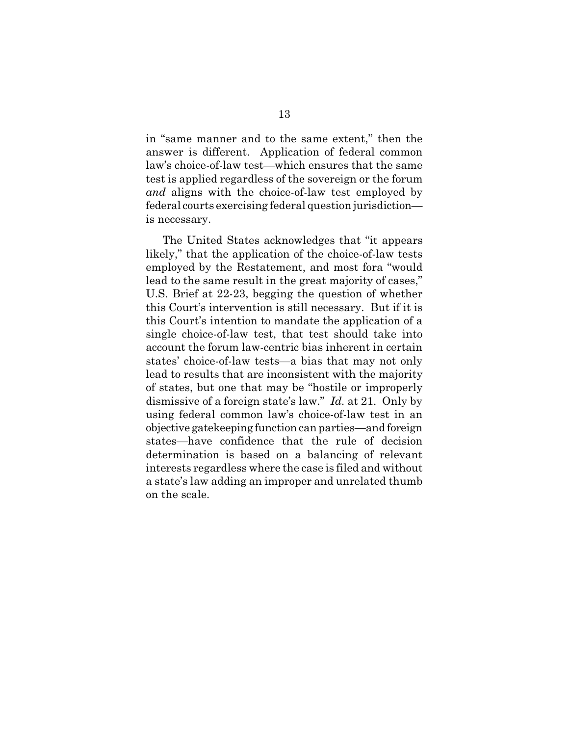in "same manner and to the same extent," then the answer is different. Application of federal common law's choice-of-law test—which ensures that the same test is applied regardless of the sovereign or the forum *and* aligns with the choice-of-law test employed by federal courts exercising federal question jurisdiction is necessary.

The United States acknowledges that "it appears likely," that the application of the choice-of-law tests employed by the Restatement, and most fora "would lead to the same result in the great majority of cases," U.S. Brief at 22-23, begging the question of whether this Court's intervention is still necessary. But if it is this Court's intention to mandate the application of a single choice-of-law test, that test should take into account the forum law-centric bias inherent in certain states' choice-of-law tests—a bias that may not only lead to results that are inconsistent with the majority of states, but one that may be "hostile or improperly dismissive of a foreign state's law." *Id.* at 21. Only by using federal common law's choice-of-law test in an objective gatekeeping function can parties—and foreign states—have confidence that the rule of decision determination is based on a balancing of relevant interests regardless where the case is filed and without a state's law adding an improper and unrelated thumb on the scale.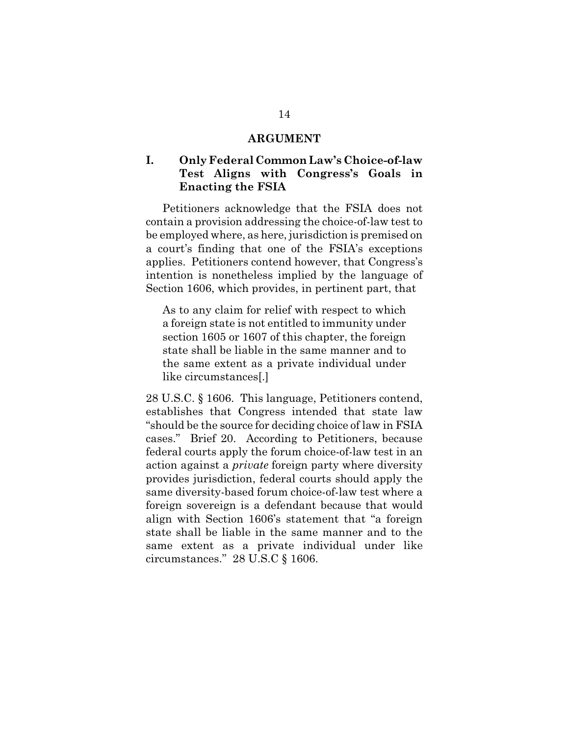#### **ARGUMENT**

# **I. Only Federal Common Law's Choice-of-law Test Aligns with Congress's Goals in Enacting the FSIA**

Petitioners acknowledge that the FSIA does not contain a provision addressing the choice-of-law test to be employed where, as here, jurisdiction is premised on a court's finding that one of the FSIA's exceptions applies. Petitioners contend however, that Congress's intention is nonetheless implied by the language of Section 1606, which provides, in pertinent part, that

As to any claim for relief with respect to which a foreign state is not entitled to immunity under section 1605 or 1607 of this chapter, the foreign state shall be liable in the same manner and to the same extent as a private individual under like circumstances[.]

28 U.S.C. § 1606. This language, Petitioners contend, establishes that Congress intended that state law "should be the source for deciding choice of law in FSIA cases." Brief 20. According to Petitioners, because federal courts apply the forum choice-of-law test in an action against a *private* foreign party where diversity provides jurisdiction, federal courts should apply the same diversity-based forum choice-of-law test where a foreign sovereign is a defendant because that would align with Section 1606's statement that "a foreign state shall be liable in the same manner and to the same extent as a private individual under like circumstances." 28 U.S.C § 1606.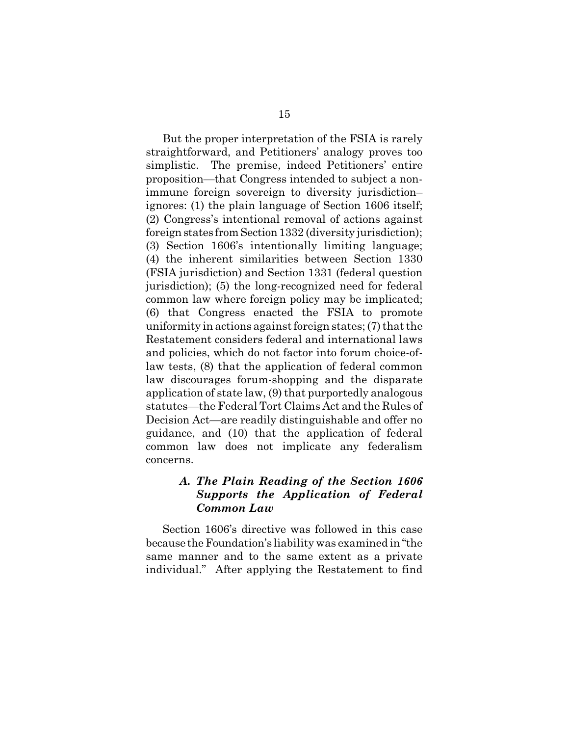But the proper interpretation of the FSIA is rarely straightforward, and Petitioners' analogy proves too simplistic. The premise, indeed Petitioners' entire proposition—that Congress intended to subject a nonimmune foreign sovereign to diversity jurisdiction– ignores: (1) the plain language of Section 1606 itself; (2) Congress's intentional removal of actions against foreign states from Section 1332 (diversity jurisdiction); (3) Section 1606's intentionally limiting language; (4) the inherent similarities between Section 1330 (FSIA jurisdiction) and Section 1331 (federal question jurisdiction); (5) the long-recognized need for federal common law where foreign policy may be implicated; (6) that Congress enacted the FSIA to promote uniformity in actions against foreign states; (7) that the Restatement considers federal and international laws and policies, which do not factor into forum choice-oflaw tests, (8) that the application of federal common law discourages forum-shopping and the disparate application of state law, (9) that purportedly analogous statutes—the Federal Tort Claims Act and the Rules of Decision Act—are readily distinguishable and offer no guidance, and (10) that the application of federal common law does not implicate any federalism concerns.

# *A. The Plain Reading of the Section 1606 Supports the Application of Federal Common Law*

Section 1606's directive was followed in this case because theFoundation's liability was examined in "the same manner and to the same extent as a private individual." After applying the Restatement to find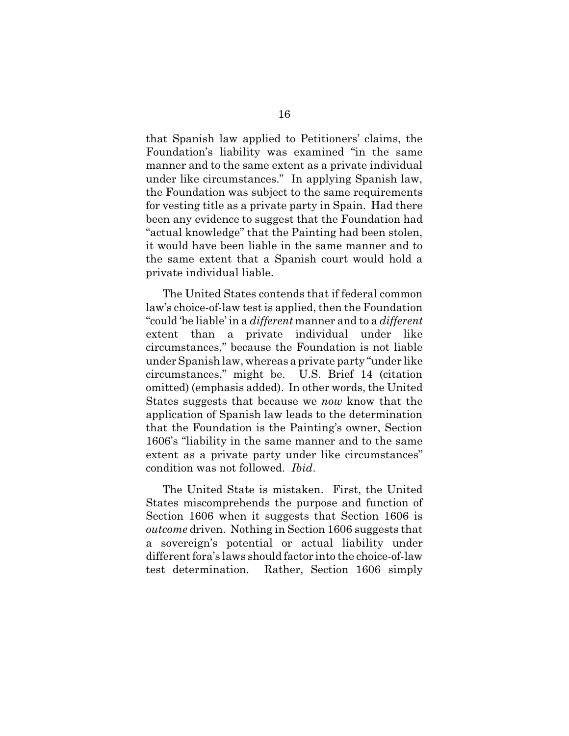that Spanish law applied to Petitioners' claims, the Foundation's liability was examined "in the same manner and to the same extent as a private individual under like circumstances." In applying Spanish law, the Foundation was subject to the same requirements for vesting title as a private party in Spain. Had there been any evidence to suggest that the Foundation had "actual knowledge" that the Painting had been stolen, it would have been liable in the same manner and to the same extent that a Spanish court would hold a private individual liable.

The United States contends that if federal common law's choice-of-law test is applied, then the Foundation "could 'be liable' in a *different* manner and to a *different* extent than a private individual under like circumstances," because the Foundation is not liable under Spanish law, whereas a private party "under like circumstances," might be. U.S. Brief 14 (citation omitted) (emphasis added). In other words, the United States suggests that because we *now* know that the application of Spanish law leads to the determination that the Foundation is the Painting's owner, Section 1606's "liability in the same manner and to the same extent as a private party under like circumstances" condition was not followed. *Ibid*.

The United State is mistaken. First, the United States miscomprehends the purpose and function of Section 1606 when it suggests that Section 1606 is *outcome* driven. Nothing in Section 1606 suggests that a sovereign's potential or actual liability under different fora's laws should factor into the choice-of-law test determination. Rather, Section 1606 simply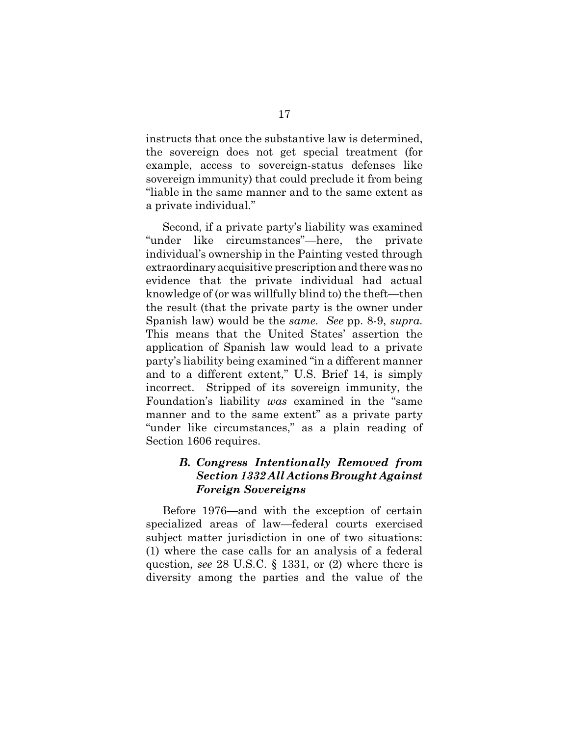instructs that once the substantive law is determined, the sovereign does not get special treatment (for example, access to sovereign-status defenses like sovereign immunity) that could preclude it from being "liable in the same manner and to the same extent as a private individual."

Second, if a private party's liability was examined "under like circumstances"—here, the private individual's ownership in the Painting vested through extraordinary acquisitive prescription and there was no evidence that the private individual had actual knowledge of (or was willfully blind to) the theft—then the result (that the private party is the owner under Spanish law) would be the *same*. *See* pp. 8-9, *supra*. This means that the United States' assertion the application of Spanish law would lead to a private party's liability being examined "in a different manner and to a different extent," U.S. Brief 14, is simply incorrect. Stripped of its sovereign immunity, the Foundation's liability *was* examined in the "same manner and to the same extent" as a private party "under like circumstances," as a plain reading of Section 1606 requires.

# *B. Congress Intentionally Removed from Section 1332 All Actions Brought Against Foreign Sovereigns*

Before 1976—and with the exception of certain specialized areas of law—federal courts exercised subject matter jurisdiction in one of two situations: (1) where the case calls for an analysis of a federal question, *see* 28 U.S.C. § 1331, or (2) where there is diversity among the parties and the value of the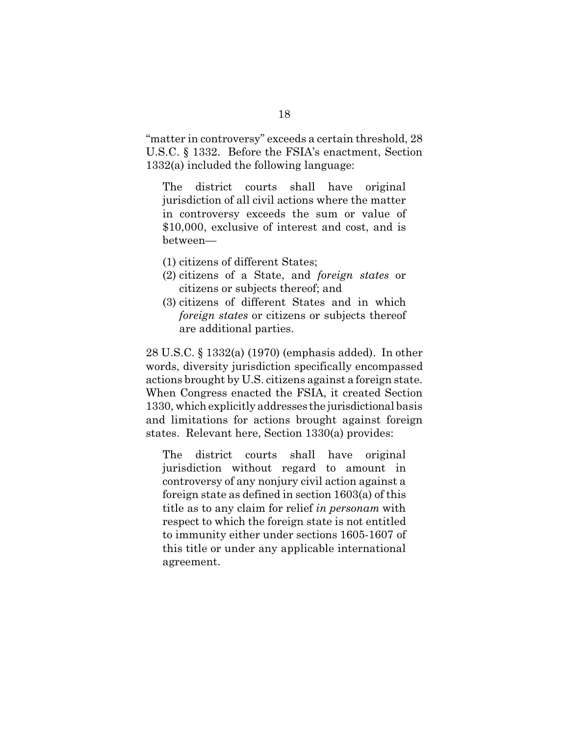"matter in controversy" exceeds a certain threshold, 28 U.S.C. § 1332. Before the FSIA's enactment, Section 1332(a) included the following language:

The district courts shall have original jurisdiction of all civil actions where the matter in controversy exceeds the sum or value of \$10,000, exclusive of interest and cost, and is between—

- (1) citizens of different States;
- (2) citizens of a State, and *foreign states* or citizens or subjects thereof; and
- (3) citizens of different States and in which *foreign states* or citizens or subjects thereof are additional parties.

28 U.S.C. § 1332(a) (1970) (emphasis added). In other words, diversity jurisdiction specifically encompassed actions brought by U.S. citizens against a foreign state. When Congress enacted the FSIA, it created Section 1330, which explicitly addresses the jurisdictional basis and limitations for actions brought against foreign states. Relevant here, Section 1330(a) provides:

The district courts shall have original jurisdiction without regard to amount in controversy of any nonjury civil action against a foreign state as defined in section 1603(a) of this title as to any claim for relief *in personam* with respect to which the foreign state is not entitled to immunity either under sections 1605-1607 of this title or under any applicable international agreement.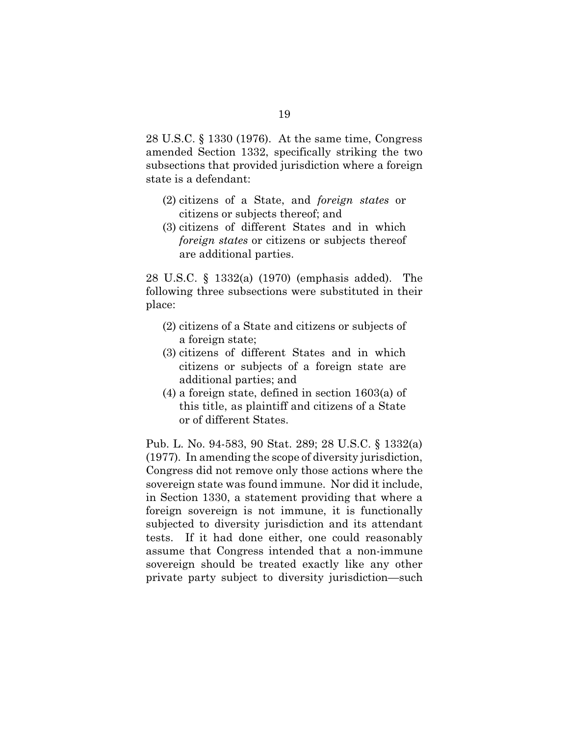28 U.S.C. § 1330 (1976). At the same time, Congress amended Section 1332, specifically striking the two subsections that provided jurisdiction where a foreign state is a defendant:

- (2) citizens of a State, and *foreign states* or citizens or subjects thereof; and
- (3) citizens of different States and in which *foreign states* or citizens or subjects thereof are additional parties.

28 U.S.C. § 1332(a) (1970) (emphasis added). The following three subsections were substituted in their place:

- (2) citizens of a State and citizens or subjects of a foreign state;
- (3) citizens of different States and in which citizens or subjects of a foreign state are additional parties; and
- (4) a foreign state, defined in section 1603(a) of this title, as plaintiff and citizens of a State or of different States.

Pub. L. No. 94-583, 90 Stat. 289; 28 U.S.C. § 1332(a) (1977)*.* In amending the scope of diversity jurisdiction, Congress did not remove only those actions where the sovereign state was found immune. Nor did it include, in Section 1330, a statement providing that where a foreign sovereign is not immune, it is functionally subjected to diversity jurisdiction and its attendant tests. If it had done either, one could reasonably assume that Congress intended that a non-immune sovereign should be treated exactly like any other private party subject to diversity jurisdiction—such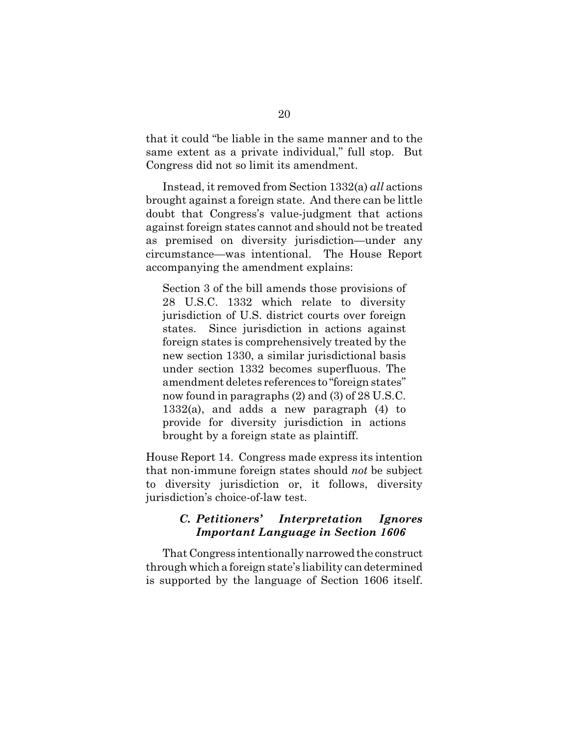that it could "be liable in the same manner and to the same extent as a private individual," full stop. But Congress did not so limit its amendment.

Instead, it removed from Section 1332(a) *all* actions brought against a foreign state. And there can be little doubt that Congress's value-judgment that actions against foreign states cannot and should not be treated as premised on diversity jurisdiction—under any circumstance—was intentional. The House Report accompanying the amendment explains:

Section 3 of the bill amends those provisions of 28 U.S.C. 1332 which relate to diversity jurisdiction of U.S. district courts over foreign states. Since jurisdiction in actions against foreign states is comprehensively treated by the new section 1330, a similar jurisdictional basis under section 1332 becomes superfluous. The amendment deletes references to "foreign states" now found in paragraphs (2) and (3) of 28 U.S.C.  $1332(a)$ , and adds a new paragraph  $(4)$  to provide for diversity jurisdiction in actions brought by a foreign state as plaintiff.

House Report 14. Congress made express its intention that non-immune foreign states should *not* be subject to diversity jurisdiction or, it follows, diversity jurisdiction's choice-of-law test.

### *C. Petitioners' Interpretation Ignores Important Language in Section 1606*

That Congress intentionally narrowed the construct through which a foreign state's liability candetermined is supported by the language of Section 1606 itself.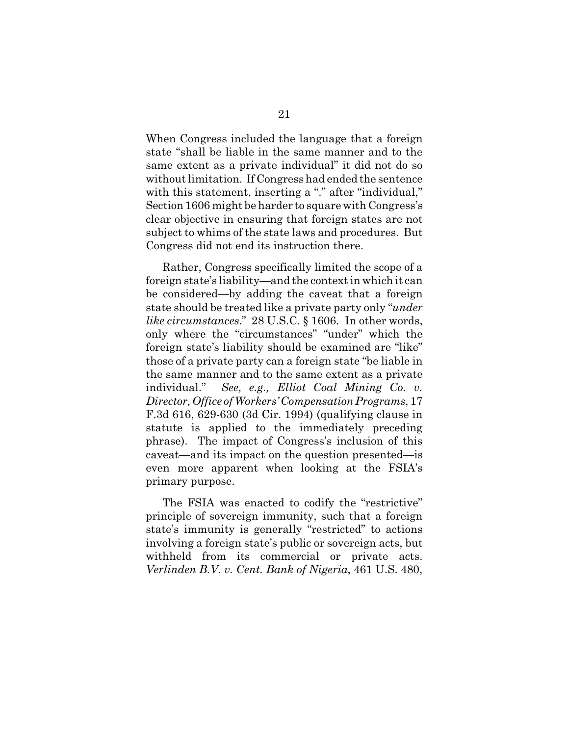When Congress included the language that a foreign state "shall be liable in the same manner and to the same extent as a private individual" it did not do so without limitation. If Congress had ended the sentence with this statement, inserting a "." after "individual," Section 1606 might be harder to square with Congress's clear objective in ensuring that foreign states are not subject to whims of the state laws and procedures. But Congress did not end its instruction there.

Rather, Congress specifically limited the scope of a foreign state's liability—and the context in which it can be considered—by adding the caveat that a foreign state should be treated like a private party only "*under like circumstances.*" 28 U.S.C. § 1606. In other words, only where the "circumstances" "under" which the foreign state's liability should be examined are "like" those of a private party can a foreign state "be liable in the same manner and to the same extent as a private individual." *See, e.g., Elliot Coal Mining Co. v. Director, Office of Workers' Compensation Programs*, 17 F.3d 616, 629-630 (3d Cir. 1994) (qualifying clause in statute is applied to the immediately preceding phrase). The impact of Congress's inclusion of this caveat—and its impact on the question presented—is even more apparent when looking at the FSIA's primary purpose.

The FSIA was enacted to codify the "restrictive" principle of sovereign immunity, such that a foreign state's immunity is generally "restricted" to actions involving a foreign state's public or sovereign acts, but withheld from its commercial or private acts. *Verlinden B.V. v. Cent. Bank of Nigeria*, 461 U.S. 480,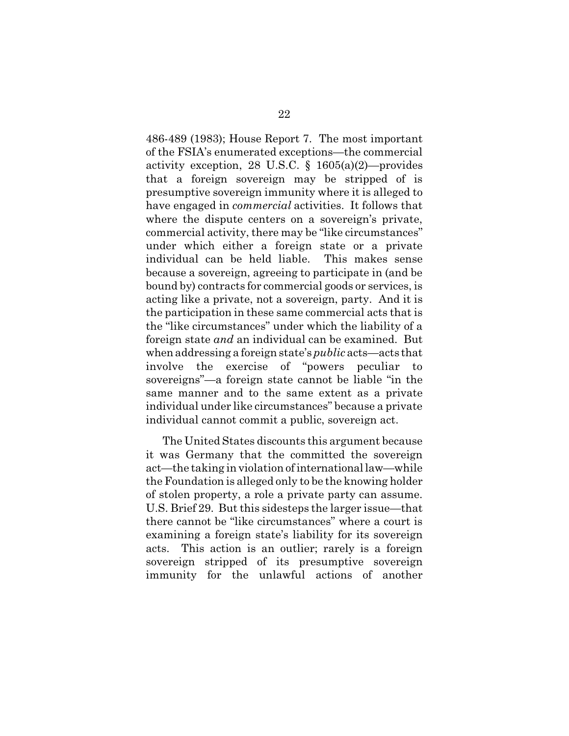486-489 (1983); House Report 7. The most important of the FSIA's enumerated exceptions—the commercial activity exception, 28 U.S.C. § 1605(a)(2)—provides that a foreign sovereign may be stripped of is presumptive sovereign immunity where it is alleged to have engaged in *commercial* activities. It follows that where the dispute centers on a sovereign's private, commercial activity, there may be "like circumstances" under which either a foreign state or a private individual can be held liable. This makes sense because a sovereign, agreeing to participate in (and be bound by) contracts for commercial goods or services, is acting like a private, not a sovereign, party. And it is the participation in these same commercial acts that is the "like circumstances" under which the liability of a foreign state *and* an individual can be examined. But when addressing a foreign state's *public* acts—acts that involve the exercise of "powers peculiar to sovereigns"—a foreign state cannot be liable "in the same manner and to the same extent as a private individual under like circumstances" because a private individual cannot commit a public, sovereign act.

The United States discounts this argument because it was Germany that the committed the sovereign act—the taking in violation of internationallaw—while the Foundation is alleged only to be the knowing holder of stolen property, a role a private party can assume. U.S. Brief 29. But this sidesteps the larger issue—that there cannot be "like circumstances" where a court is examining a foreign state's liability for its sovereign acts. This action is an outlier; rarely is a foreign sovereign stripped of its presumptive sovereign immunity for the unlawful actions of another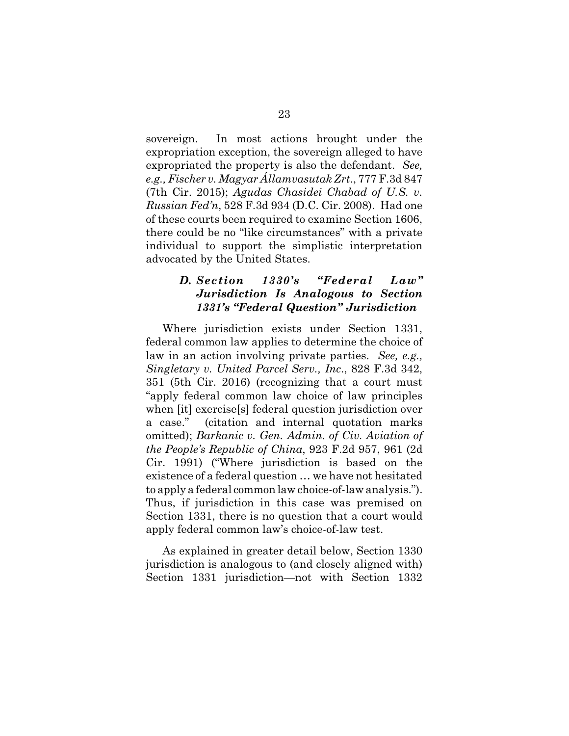sovereign. In most actions brought under the expropriation exception, the sovereign alleged to have expropriated the property is also the defendant. *See, e.g., Fischer v. Magyar Államvasutak Zrt*., 777 F.3d 847 (7th Cir. 2015); *Agudas Chasidei Chabad of U.S. v. Russian Fed'n*, 528 F.3d 934 (D.C. Cir. 2008). Had one of these courts been required to examine Section 1606, there could be no "like circumstances" with a private individual to support the simplistic interpretation advocated by the United States.

### *D. Section 1330's "Federal Law" Jurisdiction Is Analogous to Section 1331's "Federal Question" Jurisdiction*

Where jurisdiction exists under Section 1331, federal common law applies to determine the choice of law in an action involving private parties. *See, e.g., Singletary v. United Parcel Serv., Inc*., 828 F.3d 342, 351 (5th Cir. 2016) (recognizing that a court must "apply federal common law choice of law principles when [it] exercise[s] federal question jurisdiction over a case." (citation and internal quotation marks omitted); *Barkanic v. Gen. Admin. of Civ. Aviation of the People's Republic of China*, 923 F.2d 957, 961 (2d Cir. 1991) ("Where jurisdiction is based on the existence of a federal question … we have not hesitated to apply a federal commonlaw choice-of-law analysis."). Thus, if jurisdiction in this case was premised on Section 1331, there is no question that a court would apply federal common law's choice-of-law test.

As explained in greater detail below, Section 1330 jurisdiction is analogous to (and closely aligned with) Section 1331 jurisdiction—not with Section 1332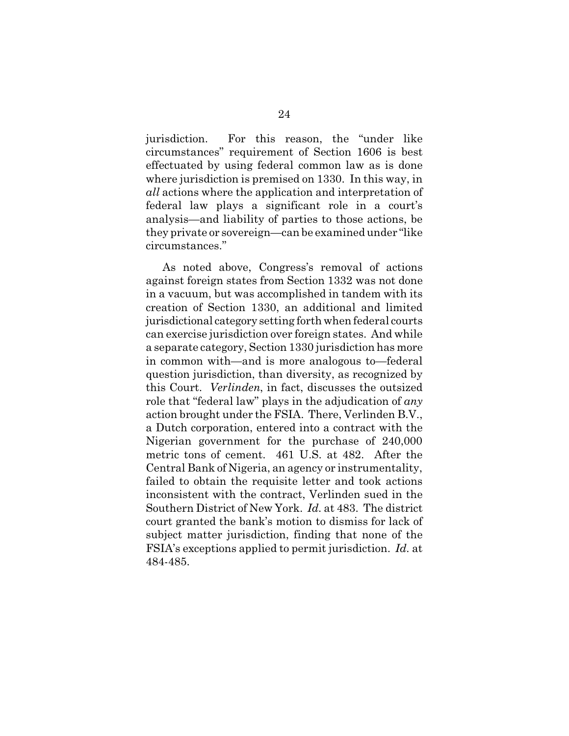jurisdiction. For this reason, the "under like circumstances" requirement of Section 1606 is best effectuated by using federal common law as is done where jurisdiction is premised on 1330. In this way, in *all* actions where the application and interpretation of federal law plays a significant role in a court's analysis—and liability of parties to those actions, be they private or sovereign—can be examined under "like circumstances."

As noted above, Congress's removal of actions against foreign states from Section 1332 was not done in a vacuum, but was accomplished in tandem with its creation of Section 1330, an additional and limited jurisdictional category setting forth when federal courts can exercise jurisdiction over foreign states. And while a separate category, Section 1330 jurisdiction has more in common with—and is more analogous to—federal question jurisdiction, than diversity, as recognized by this Court. *Verlinden*, in fact, discusses the outsized role that "federal law" plays in the adjudication of *any* action brought under the FSIA. There, Verlinden B.V., a Dutch corporation, entered into a contract with the Nigerian government for the purchase of 240,000 metric tons of cement. 461 U.S. at 482. After the Central Bank of Nigeria, an agency or instrumentality, failed to obtain the requisite letter and took actions inconsistent with the contract, Verlinden sued in the Southern District of New York. *Id.* at 483. The district court granted the bank's motion to dismiss for lack of subject matter jurisdiction, finding that none of the FSIA's exceptions applied to permit jurisdiction. *Id.* at 484-485.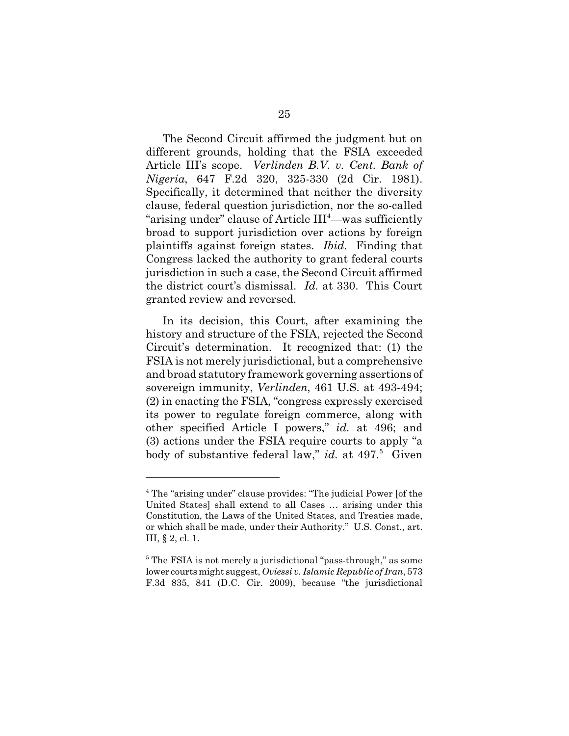The Second Circuit affirmed the judgment but on different grounds, holding that the FSIA exceeded Article III's scope. *Verlinden B.V. v. Cent. Bank of Nigeria*, 647 F.2d 320, 325-330 (2d Cir. 1981). Specifically, it determined that neither the diversity clause, federal question jurisdiction, nor the so-called "arising under" clause of Article III<sup>4</sup>—was sufficiently broad to support jurisdiction over actions by foreign plaintiffs against foreign states. *Ibid.* Finding that Congress lacked the authority to grant federal courts jurisdiction in such a case, the Second Circuit affirmed the district court's dismissal. *Id.* at 330. This Court granted review and reversed.

In its decision, this Court, after examining the history and structure of the FSIA, rejected the Second Circuit's determination. It recognized that: (1) the FSIA is not merely jurisdictional, but a comprehensive and broad statutory framework governing assertions of sovereign immunity, *Verlinden*, 461 U.S. at 493-494; (2) in enacting the FSIA, "congress expressly exercised its power to regulate foreign commerce, along with other specified Article I powers," *id.* at 496; and (3) actions under the FSIA require courts to apply "a body of substantive federal law," *id.* at 497.<sup>5</sup> Given

<sup>&</sup>lt;sup>4</sup> The "arising under" clause provides: "The judicial Power [of the United States] shall extend to all Cases … arising under this Constitution, the Laws of the United States, and Treaties made, or which shall be made, under their Authority." U.S. Const., art. III, § 2, cl. 1.

<sup>&</sup>lt;sup>5</sup> The FSIA is not merely a jurisdictional "pass-through," as some lower courts might suggest, *Oviessi v. Islamic Republic of Iran*, 573 F.3d 835, 841 (D.C. Cir. 2009), because "the jurisdictional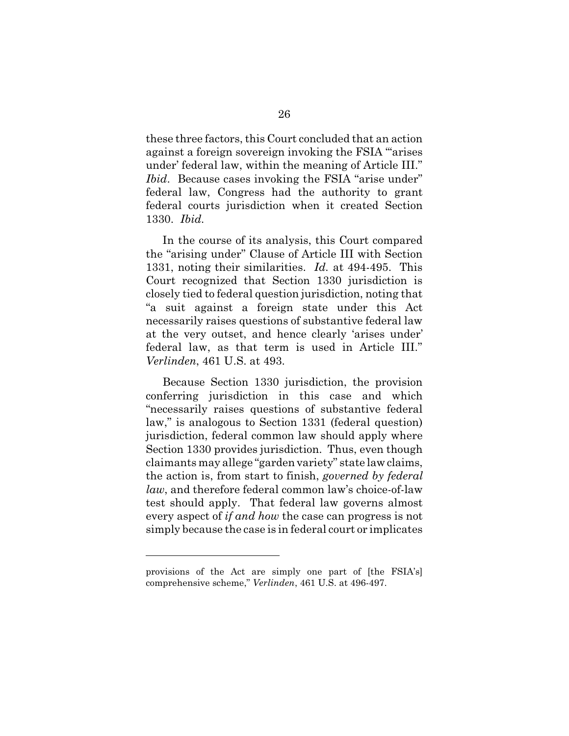these three factors, this Court concluded that an action against a foreign sovereign invoking the FSIA "'arises under' federal law, within the meaning of Article III." *Ibid.* Because cases invoking the FSIA "arise under" federal law, Congress had the authority to grant federal courts jurisdiction when it created Section 1330. *Ibid.*

In the course of its analysis, this Court compared the "arising under" Clause of Article III with Section 1331, noting their similarities. *Id.* at 494-495. This Court recognized that Section 1330 jurisdiction is closely tied to federal question jurisdiction, noting that "a suit against a foreign state under this Act necessarily raises questions of substantive federal law at the very outset, and hence clearly 'arises under' federal law, as that term is used in Article III." *Verlinden*, 461 U.S. at 493.

Because Section 1330 jurisdiction, the provision conferring jurisdiction in this case and which "necessarily raises questions of substantive federal law," is analogous to Section 1331 (federal question) jurisdiction, federal common law should apply where Section 1330 provides jurisdiction. Thus, even though claimants may allege "garden variety" state lawclaims, the action is, from start to finish, *governed by federal law*, and therefore federal common law's choice-of-law test should apply. That federal law governs almost every aspect of *if and how* the case can progress is not simply because the case is in federal court or implicates

provisions of the Act are simply one part of [the FSIA's] comprehensive scheme," *Verlinden*, 461 U.S. at 496-497.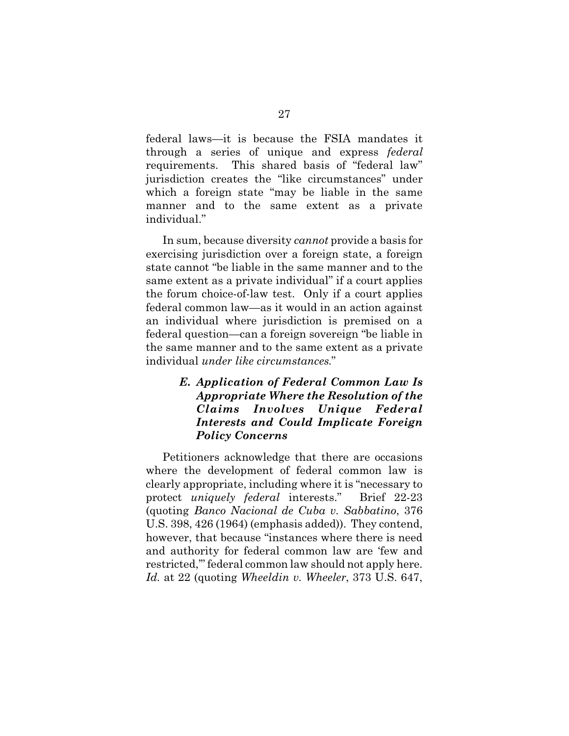federal laws—it is because the FSIA mandates it through a series of unique and express *federal* requirements. This shared basis of "federal law" jurisdiction creates the "like circumstances" under which a foreign state "may be liable in the same manner and to the same extent as a private individual."

In sum, because diversity *cannot* provide a basis for exercising jurisdiction over a foreign state, a foreign state cannot "be liable in the same manner and to the same extent as a private individual" if a court applies the forum choice-of-law test. Only if a court applies federal common law—as it would in an action against an individual where jurisdiction is premised on a federal question—can a foreign sovereign "be liable in the same manner and to the same extent as a private individual *under like circumstances*."

# *E. Application of Federal Common Law Is Appropriate Where the Resolution of the Claims Involves Unique Federal Interests and Could Implicate Foreign Policy Concerns*

Petitioners acknowledge that there are occasions where the development of federal common law is clearly appropriate, including where it is "necessary to protect *uniquely federal* interests." Brief 22-23 (quoting *Banco Nacional de Cuba v. Sabbatino*, 376 U.S. 398, 426 (1964) (emphasis added)). They contend, however, that because "instances where there is need and authority for federal common law are 'few and restricted,'" federal common law should not apply here. *Id.* at 22 (quoting *Wheeldin v. Wheeler*, 373 U.S. 647,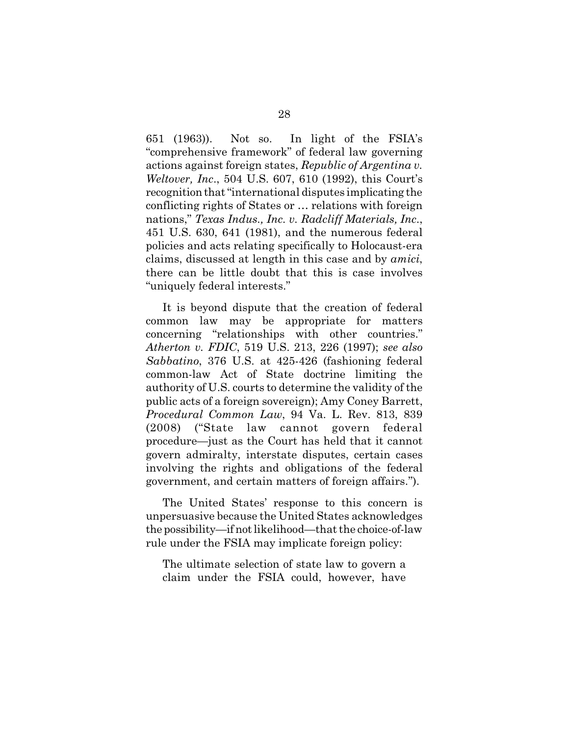651 (1963)). Not so. In light of the FSIA's "comprehensive framework" of federal law governing actions against foreign states, *Republic of Argentina v. Weltover, Inc*., 504 U.S. 607, 610 (1992), this Court's recognition that "international disputes implicating the conflicting rights of States or … relations with foreign nations," *Texas Indus., Inc. v. Radcliff Materials, Inc*., 451 U.S. 630, 641 (1981), and the numerous federal policies and acts relating specifically to Holocaust-era claims, discussed at length in this case and by *amici*, there can be little doubt that this is case involves "uniquely federal interests."

It is beyond dispute that the creation of federal common law may be appropriate for matters concerning "relationships with other countries." *Atherton v. FDIC*, 519 U.S. 213, 226 (1997); *see also Sabbatino*, 376 U.S. at 425-426 (fashioning federal common-law Act of State doctrine limiting the authority of U.S. courts to determine the validity of the public acts of a foreign sovereign); Amy Coney Barrett, *Procedural Common Law*, 94 Va. L. Rev. 813, 839 (2008) ("State law cannot govern federal procedure—just as the Court has held that it cannot govern admiralty, interstate disputes, certain cases involving the rights and obligations of the federal government, and certain matters of foreign affairs.").

The United States' response to this concern is unpersuasive because the United States acknowledges the possibility—if not likelihood—that the choice-of-law rule under the FSIA may implicate foreign policy:

The ultimate selection of state law to govern a claim under the FSIA could, however, have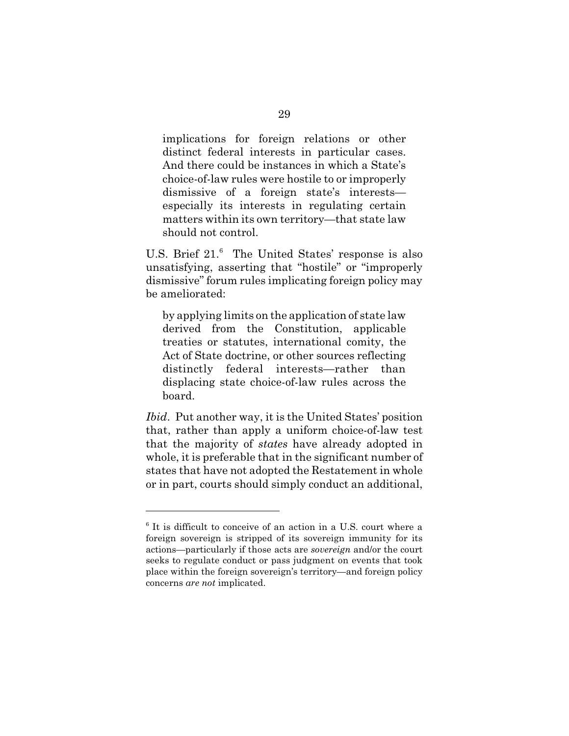implications for foreign relations or other distinct federal interests in particular cases. And there could be instances in which a State's choice-of-law rules were hostile to or improperly dismissive of a foreign state's interests especially its interests in regulating certain matters within its own territory—that state law should not control.

U.S. Brief 21.<sup>6</sup> The United States' response is also unsatisfying, asserting that "hostile" or "improperly dismissive" forum rules implicating foreign policy may be ameliorated:

by applying limits on the application of state law derived from the Constitution, applicable treaties or statutes, international comity, the Act of State doctrine, or other sources reflecting distinctly federal interests—rather than displacing state choice-of-law rules across the board.

*Ibid*. Put another way, it is the United States' position that, rather than apply a uniform choice-of-law test that the majority of *states* have already adopted in whole, it is preferable that in the significant number of states that have not adopted the Restatement in whole or in part, courts should simply conduct an additional,

<sup>6</sup> It is difficult to conceive of an action in a U.S. court where a foreign sovereign is stripped of its sovereign immunity for its actions—particularly if those acts are *sovereign* and/or the court seeks to regulate conduct or pass judgment on events that took place within the foreign sovereign's territory—and foreign policy concerns *are not* implicated.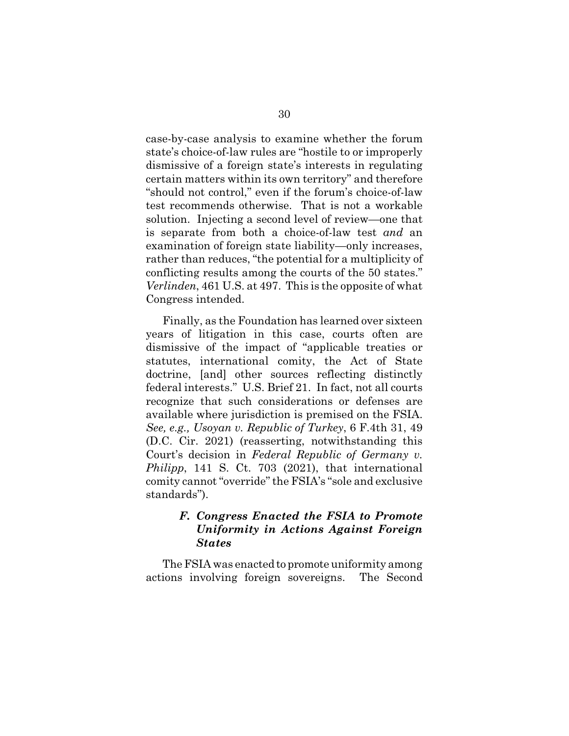case-by-case analysis to examine whether the forum state's choice-of-law rules are "hostile to or improperly dismissive of a foreign state's interests in regulating certain matters within its own territory" and therefore "should not control," even if the forum's choice-of-law test recommends otherwise. That is not a workable solution. Injecting a second level of review—one that is separate from both a choice-of-law test *and* an examination of foreign state liability—only increases, rather than reduces, "the potential for a multiplicity of conflicting results among the courts of the 50 states." *Verlinden*, 461 U.S. at 497. This is the opposite of what Congress intended.

Finally, as the Foundation has learned over sixteen years of litigation in this case, courts often are dismissive of the impact of "applicable treaties or statutes, international comity, the Act of State doctrine, [and] other sources reflecting distinctly federal interests." U.S. Brief 21. In fact, not all courts recognize that such considerations or defenses are available where jurisdiction is premised on the FSIA. *See, e.g., Usoyan v. Republic of Turkey*, 6 F.4th 31, 49 (D.C. Cir. 2021) (reasserting, notwithstanding this Court's decision in *Federal Republic of Germany v. Philipp*, 141 S. Ct. 703 (2021), that international comity cannot "override" the FSIA's "sole and exclusive standards").

# *F. Congress Enacted the FSIA to Promote Uniformity in Actions Against Foreign States*

The FSIA was enacted to promote uniformity among actions involving foreign sovereigns. The Second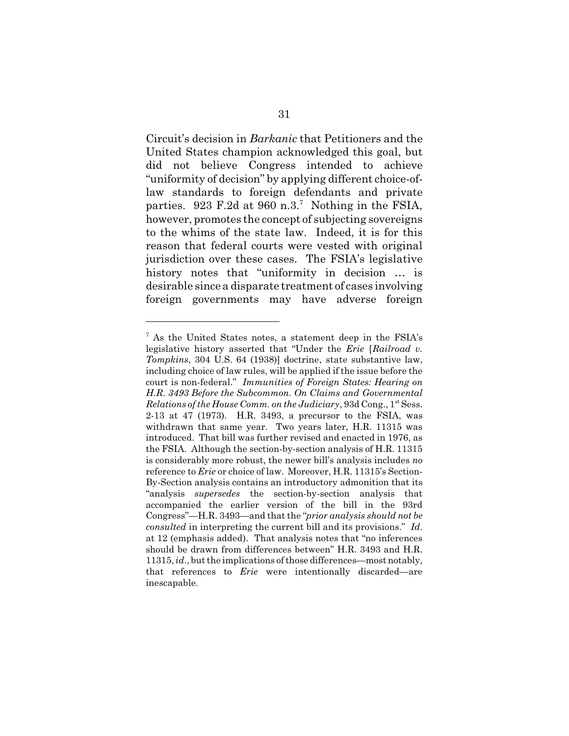Circuit's decision in *Barkanic* that Petitioners and the United States champion acknowledged this goal, but did not believe Congress intended to achieve "uniformity of decision" by applying different choice-oflaw standards to foreign defendants and private parties. 923 F.2d at 960 n.3.<sup>7</sup> Nothing in the FSIA, however, promotes the concept of subjecting sovereigns to the whims of the state law. Indeed, it is for this reason that federal courts were vested with original jurisdiction over these cases. The FSIA's legislative history notes that "uniformity in decision … is desirable since a disparate treatment of cases involving foreign governments may have adverse foreign

 $7$  As the United States notes, a statement deep in the FSIA's legislative history asserted that "Under the *Erie* [*Railroad v. Tompkins*, 304 U.S. 64 (1938)] doctrine, state substantive law, including choice of law rules, will be applied if the issue before the court is non-federal." *Immunities of Foreign States: Hearing on H.R. 3493 Before the Subcommon. On Claims and Governmental* Relations of the House Comm. on the Judiciary, 93d Cong., 1<sup>st</sup> Sess. 2-13 at 47 (1973). H.R. 3493, a precursor to the FSIA, was withdrawn that same year. Two years later, H.R. 11315 was introduced. That bill was further revised and enacted in 1976, as the FSIA. Although the section-by-section analysis of H.R. 11315 is considerably more robust, the newer bill's analysis includes *no* reference to *Erie* or choice of law. Moreover, H.R. 11315's Section-By-Section analysis contains an introductory admonition that its "analysis *supersedes* the section-by-section analysis that accompanied the earlier version of the bill in the 93rd Congress"—H.R. 3493—and that the "*prior analysis should not be consulted* in interpreting the current bill and its provisions." *Id*. at 12 (emphasis added). That analysis notes that "no inferences should be drawn from differences between" H.R. 3493 and H.R. 11315, *id*., but the implications of those differences—most notably, that references to *Erie* were intentionally discarded—are inescapable.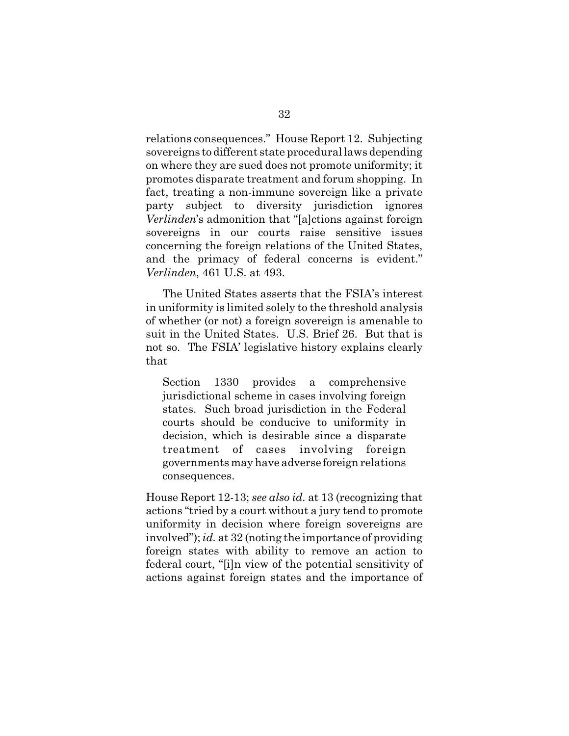relations consequences." House Report 12. Subjecting sovereigns to different state procedurallaws depending on where they are sued does not promote uniformity; it promotes disparate treatment and forum shopping. In fact, treating a non-immune sovereign like a private party subject to diversity jurisdiction ignores *Verlinden*'s admonition that "[a]ctions against foreign sovereigns in our courts raise sensitive issues concerning the foreign relations of the United States, and the primacy of federal concerns is evident." *Verlinden*, 461 U.S. at 493.

The United States asserts that the FSIA's interest in uniformity is limited solely to the threshold analysis of whether (or not) a foreign sovereign is amenable to suit in the United States. U.S. Brief 26. But that is not so. The FSIA' legislative history explains clearly that

Section 1330 provides a comprehensive jurisdictional scheme in cases involving foreign states. Such broad jurisdiction in the Federal courts should be conducive to uniformity in decision, which is desirable since a disparate treatment of cases involving foreign governments may have adverse foreign relations consequences.

House Report 12-13; *see also id.* at 13 (recognizing that actions "tried by a court without a jury tend to promote uniformity in decision where foreign sovereigns are involved"); *id.* at 32 (noting the importance of providing foreign states with ability to remove an action to federal court, "[i]n view of the potential sensitivity of actions against foreign states and the importance of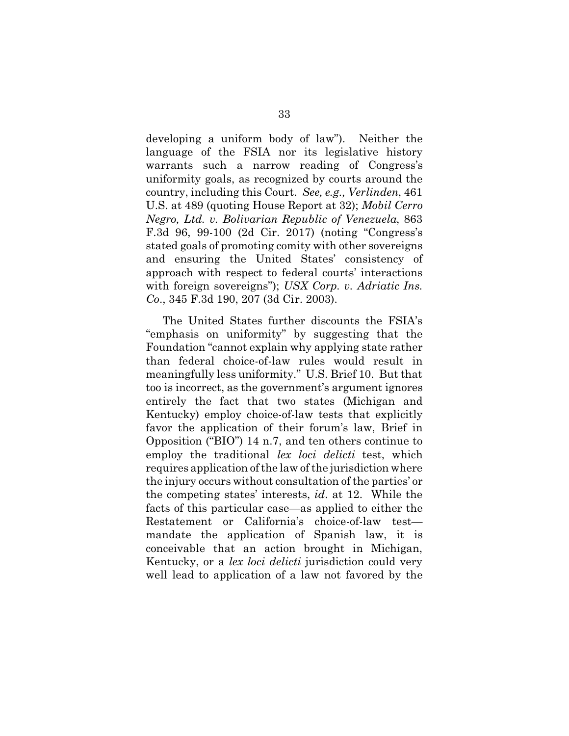developing a uniform body of law"). Neither the language of the FSIA nor its legislative history warrants such a narrow reading of Congress's uniformity goals, as recognized by courts around the country, including this Court. *See, e.g., Verlinden*, 461 U.S. at 489 (quoting House Report at 32); *Mobil Cerro Negro, Ltd. v. Bolivarian Republic of Venezuela*, 863 F.3d 96, 99-100 (2d Cir. 2017) (noting "Congress's stated goals of promoting comity with other sovereigns and ensuring the United States' consistency of approach with respect to federal courts' interactions with foreign sovereigns"); *USX Corp. v. Adriatic Ins. Co*., 345 F.3d 190, 207 (3d Cir. 2003).

The United States further discounts the FSIA's "emphasis on uniformity" by suggesting that the Foundation "cannot explain why applying state rather than federal choice-of-law rules would result in meaningfully less uniformity." U.S. Brief 10. But that too is incorrect, as the government's argument ignores entirely the fact that two states (Michigan and Kentucky) employ choice-of-law tests that explicitly favor the application of their forum's law, Brief in Opposition ("BIO") 14 n.7, and ten others continue to employ the traditional *lex loci delicti* test, which requires application of the law of the jurisdiction where the injury occurs without consultation of the parties' or the competing states' interests, *id*. at 12. While the facts of this particular case—as applied to either the Restatement or California's choice-of-law test mandate the application of Spanish law, it is conceivable that an action brought in Michigan, Kentucky, or a *lex loci delicti* jurisdiction could very well lead to application of a law not favored by the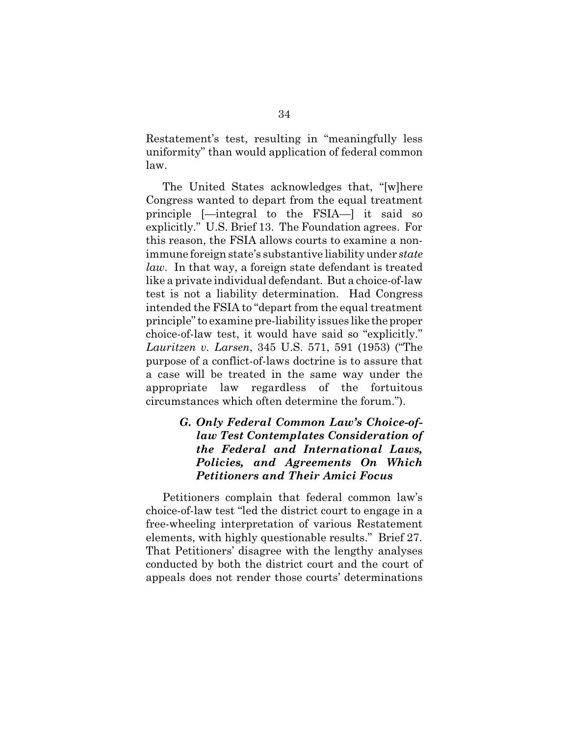Restatement's test, resulting in "meaningfully less uniformity" than would application of federal common law.

The United States acknowledges that, "[w]here Congress wanted to depart from the equal treatment principle [—integral to the FSIA—] it said so explicitly." U.S. Brief 13. The Foundation agrees. For this reason, the FSIA allows courts to examine a nonimmune foreign state's substantive liability under *state law*. In that way, a foreign state defendant is treated like a private individual defendant*.* But a choice-of-law test is not a liability determination. Had Congress intended the FSIA to "depart from the equal treatment principle" to examine pre-liability issues like the proper choice-of-law test, it would have said so "explicitly." *Lauritzen v. Larsen*, 345 U.S. 571, 591 (1953) ("The purpose of a conflict-of-laws doctrine is to assure that a case will be treated in the same way under the appropriate law regardless of the fortuitous circumstances which often determine the forum.").

# *G. Only Federal Common Law's Choice-oflaw Test Contemplates Consideration of the Federal and International Laws, Policies, and Agreements On Which Petitioners and Their Amici Focus*

Petitioners complain that federal common law's choice-of-law test "led the district court to engage in a free-wheeling interpretation of various Restatement elements, with highly questionable results." Brief 27. That Petitioners' disagree with the lengthy analyses conducted by both the district court and the court of appeals does not render those courts' determinations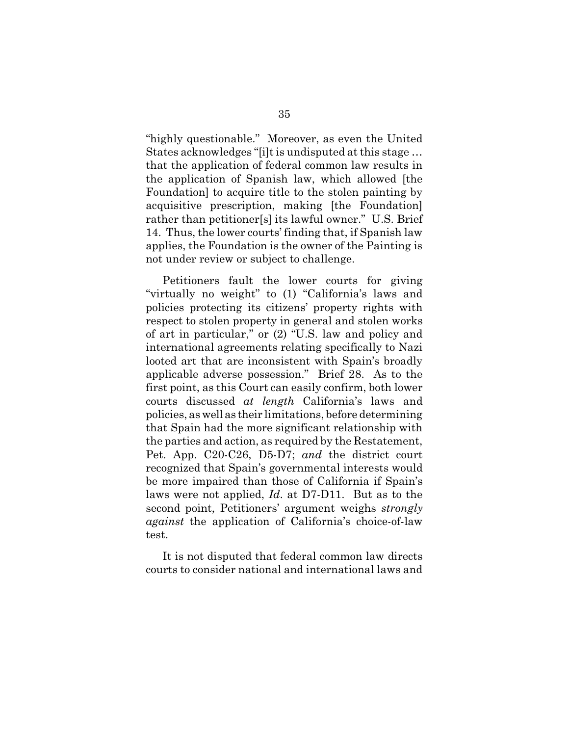"highly questionable." Moreover, as even the United States acknowledges "[i]t is undisputed at this stage … that the application of federal common law results in the application of Spanish law, which allowed [the Foundation] to acquire title to the stolen painting by acquisitive prescription, making [the Foundation] rather than petitioner[s] its lawful owner." U.S. Brief 14. Thus, the lower courts' finding that, if Spanish law applies, the Foundation is the owner of the Painting is not under review or subject to challenge.

Petitioners fault the lower courts for giving "virtually no weight" to (1) "California's laws and policies protecting its citizens' property rights with respect to stolen property in general and stolen works of art in particular," or (2) "U.S. law and policy and international agreements relating specifically to Nazi looted art that are inconsistent with Spain's broadly applicable adverse possession." Brief 28. As to the first point, as this Court can easily confirm, both lower courts discussed *at length* California's laws and policies, as well as their limitations, before determining that Spain had the more significant relationship with the parties and action, as required by the Restatement, Pet. App. C20-C26, D5-D7; *and* the district court recognized that Spain's governmental interests would be more impaired than those of California if Spain's laws were not applied, *Id*. at D7-D11. But as to the second point, Petitioners' argument weighs *strongly against* the application of California's choice-of-law test.

It is not disputed that federal common law directs courts to consider national and international laws and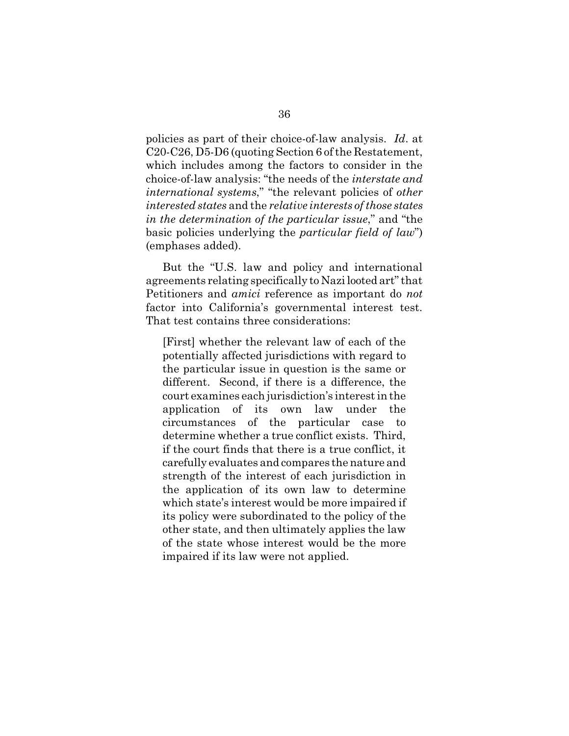policies as part of their choice-of-law analysis. *Id*. at C20-C26, D5-D6 (quoting Section 6 of the Restatement, which includes among the factors to consider in the choice-of-law analysis: "the needs of the *interstate and international systems*," "the relevant policies of *other interested states* and the *relative interests of those states in the determination of the particular issue*," and "the basic policies underlying the *particular field of law*") (emphases added).

But the "U.S. law and policy and international agreements relating specifically to Nazi looted art" that Petitioners and *amici* reference as important do *not* factor into California's governmental interest test. That test contains three considerations:

[First] whether the relevant law of each of the potentially affected jurisdictions with regard to the particular issue in question is the same or different. Second, if there is a difference, the court examines each jurisdiction's interest in the application of its own law under the circumstances of the particular case to determine whether a true conflict exists. Third, if the court finds that there is a true conflict, it carefully evaluates and compares the nature and strength of the interest of each jurisdiction in the application of its own law to determine which state's interest would be more impaired if its policy were subordinated to the policy of the other state, and then ultimately applies the law of the state whose interest would be the more impaired if its law were not applied.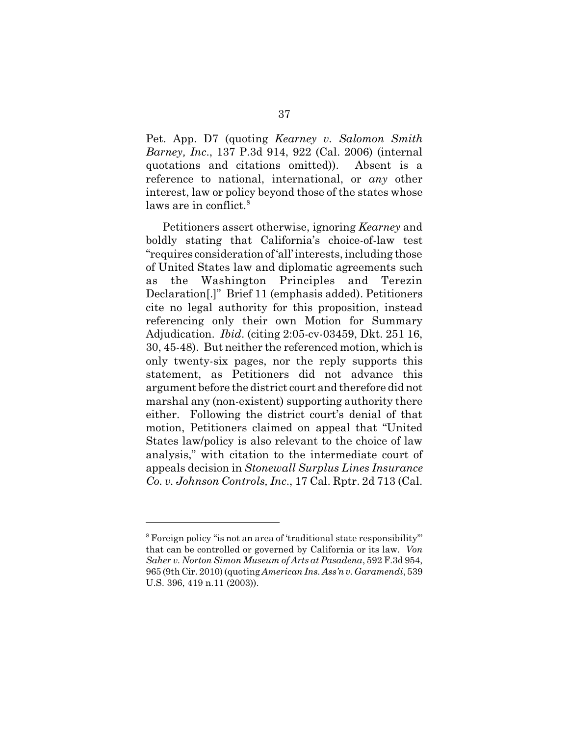Pet. App. D7 (quoting *Kearney v. Salomon Smith Barney, Inc*., 137 P.3d 914, 922 (Cal. 2006) (internal quotations and citations omitted)). Absent is a reference to national, international, or *any* other interest, law or policy beyond those of the states whose laws are in conflict.<sup>8</sup>

Petitioners assert otherwise, ignoring *Kearney* and boldly stating that California's choice-of-law test "requires considerationof'all'interests, including those of United States law and diplomatic agreements such as the Washington Principles and Terezin Declaration[.]" Brief 11 (emphasis added). Petitioners cite no legal authority for this proposition, instead referencing only their own Motion for Summary Adjudication. *Ibid*. (citing 2:05-cv-03459, Dkt. 251 16, 30, 45-48). But neither the referenced motion, which is only twenty-six pages, nor the reply supports this statement, as Petitioners did not advance this argument before the district court and therefore did not marshal any (non-existent) supporting authority there either. Following the district court's denial of that motion, Petitioners claimed on appeal that "United States law/policy is also relevant to the choice of law analysis," with citation to the intermediate court of appeals decision in *Stonewall Surplus Lines Insurance Co. v. Johnson Controls, Inc*., 17 Cal. Rptr. 2d 713 (Cal.

<sup>&</sup>lt;sup>8</sup> Foreign policy "is not an area of 'traditional state responsibility" that can be controlled or governed by California or its law. *Von Saher v. Norton Simon Museum of Arts at Pasadena*, 592 F.3d 954, 965 (9th Cir. 2010) (quoting *American Ins. Ass'n v. Garamendi*, 539 U.S. 396, 419 n.11 (2003)).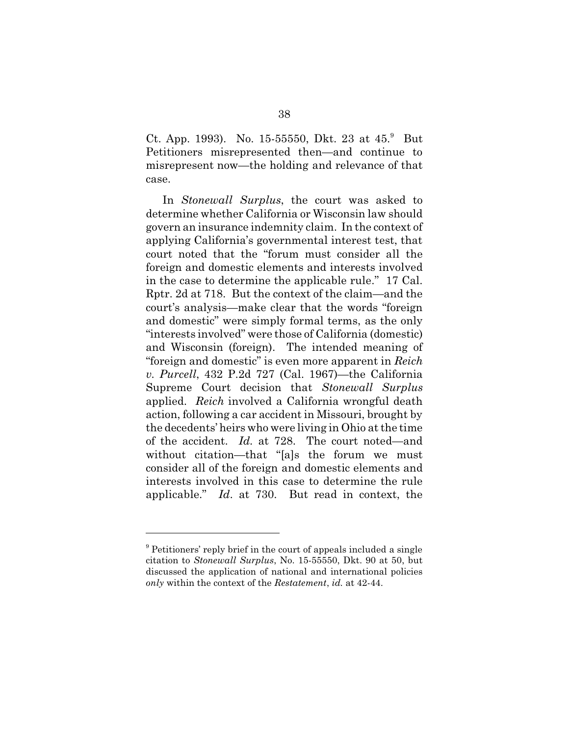Ct. App. 1993). No. 15-55550, Dkt. 23 at  $45.9$  But Petitioners misrepresented then—and continue to misrepresent now—the holding and relevance of that case.

In *Stonewall Surplus*, the court was asked to determine whether California or Wisconsin law should govern an insurance indemnity claim. In the context of applying California's governmental interest test, that court noted that the "forum must consider all the foreign and domestic elements and interests involved in the case to determine the applicable rule." 17 Cal. Rptr. 2d at 718. But the context of the claim—and the court's analysis—make clear that the words "foreign and domestic" were simply formal terms, as the only "interests involved" were those of California (domestic) and Wisconsin (foreign). The intended meaning of "foreign and domestic" is even more apparent in *Reich v. Purcell*, 432 P.2d 727 (Cal. 1967)—the California Supreme Court decision that *Stonewall Surplus* applied. *Reich* involved a California wrongful death action, following a car accident in Missouri, brought by the decedents' heirs who were living in Ohio at the time of the accident. *Id.* at 728. The court noted—and without citation—that "[a]s the forum we must consider all of the foreign and domestic elements and interests involved in this case to determine the rule applicable." *Id*. at 730. But read in context, the

<sup>&</sup>lt;sup>9</sup> Petitioners' reply brief in the court of appeals included a single citation to *Stonewall Surplus*, No. 15-55550, Dkt. 90 at 50, but discussed the application of national and international policies *only* within the context of the *Restatement*, *id.* at 42-44.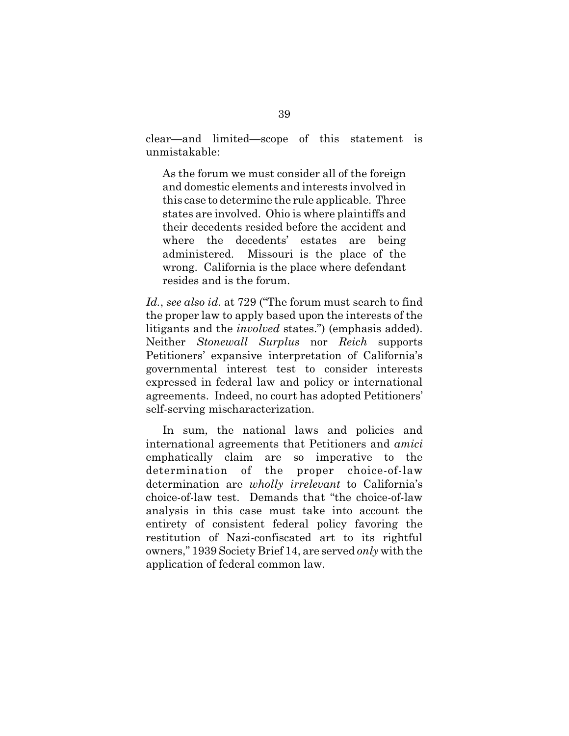clear—and limited—scope of this statement is unmistakable:

As the forum we must consider all of the foreign and domestic elements and interests involved in this case to determine the rule applicable. Three states are involved. Ohio is where plaintiffs and their decedents resided before the accident and where the decedents' estates are being administered. Missouri is the place of the wrong. California is the place where defendant resides and is the forum.

*Id.*, *see also id*. at 729 ("The forum must search to find the proper law to apply based upon the interests of the litigants and the *involved* states.") (emphasis added). Neither *Stonewall Surplus* nor *Reich* supports Petitioners' expansive interpretation of California's governmental interest test to consider interests expressed in federal law and policy or international agreements. Indeed, no court has adopted Petitioners' self-serving mischaracterization.

In sum, the national laws and policies and international agreements that Petitioners and *amici* emphatically claim are so imperative to the determination of the proper choice-of-law determination are *wholly irrelevant* to California's choice-of-law test. Demands that "the choice-of-law analysis in this case must take into account the entirety of consistent federal policy favoring the restitution of Nazi-confiscated art to its rightful owners," 1939 Society Brief 14, are served *only* with the application of federal common law.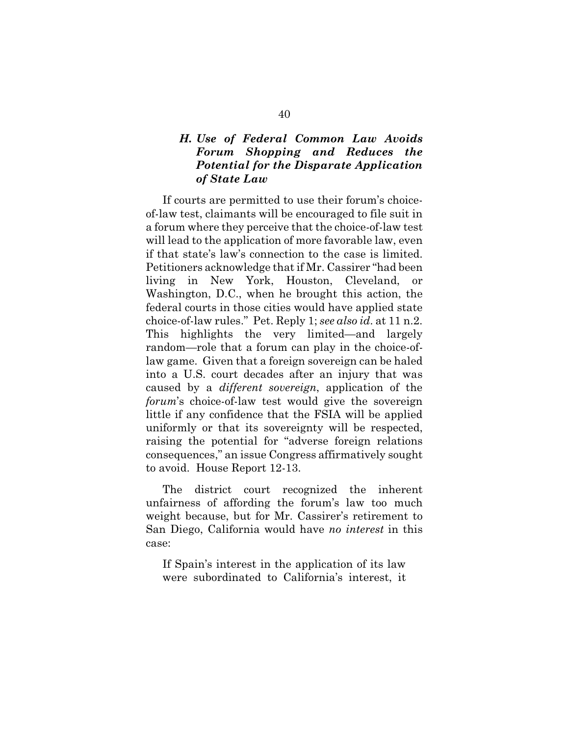# *H. Use of Federal Common Law Avoids Forum Shopping and Reduces the Potential for the Disparate Application of State Law*

If courts are permitted to use their forum's choiceof-law test, claimants will be encouraged to file suit in a forum where they perceive that the choice-of-law test will lead to the application of more favorable law, even if that state's law's connection to the case is limited. Petitioners acknowledge that if Mr. Cassirer "had been living in New York, Houston, Cleveland, or Washington, D.C., when he brought this action, the federal courts in those cities would have applied state choice-of-law rules." Pet. Reply 1; *see also id*. at 11 n.2. This highlights the very limited—and largely random—role that a forum can play in the choice-oflaw game. Given that a foreign sovereign can be haled into a U.S. court decades after an injury that was caused by a *different sovereign*, application of the *forum*'s choice-of-law test would give the sovereign little if any confidence that the FSIA will be applied uniformly or that its sovereignty will be respected, raising the potential for "adverse foreign relations consequences," an issue Congress affirmatively sought to avoid. House Report 12-13.

The district court recognized the inherent unfairness of affording the forum's law too much weight because, but for Mr. Cassirer's retirement to San Diego, California would have *no interest* in this case:

If Spain's interest in the application of its law were subordinated to California's interest, it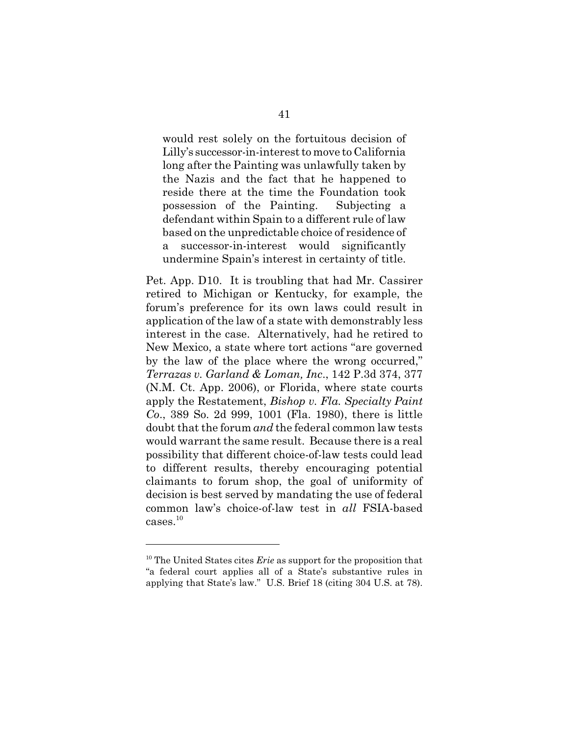would rest solely on the fortuitous decision of Lilly's successor-in-interest to move to California long after the Painting was unlawfully taken by the Nazis and the fact that he happened to reside there at the time the Foundation took possession of the Painting. Subjecting a defendant within Spain to a different rule of law based on the unpredictable choice of residence of a successor-in-interest would significantly undermine Spain's interest in certainty of title.

Pet. App. D10. It is troubling that had Mr. Cassirer retired to Michigan or Kentucky, for example, the forum's preference for its own laws could result in application of the law of a state with demonstrably less interest in the case. Alternatively, had he retired to New Mexico, a state where tort actions "are governed by the law of the place where the wrong occurred," *Terrazas v. Garland & Loman, Inc*., 142 P.3d 374, 377 (N.M. Ct. App. 2006), or Florida, where state courts apply the Restatement, *Bishop v. Fla. Specialty Paint Co*., 389 So. 2d 999, 1001 (Fla. 1980), there is little doubt that the forum *and* the federal common law tests would warrant the same result. Because there is a real possibility that different choice-of-law tests could lead to different results, thereby encouraging potential claimants to forum shop, the goal of uniformity of decision is best served by mandating the use of federal common law's choice-of-law test in *all* FSIA-based  $\mathrm{cases.}^{10}$ 

<sup>10</sup> The United States cites *Erie* as support for the proposition that "a federal court applies all of a State's substantive rules in applying that State's law." U.S. Brief 18 (citing 304 U.S. at 78).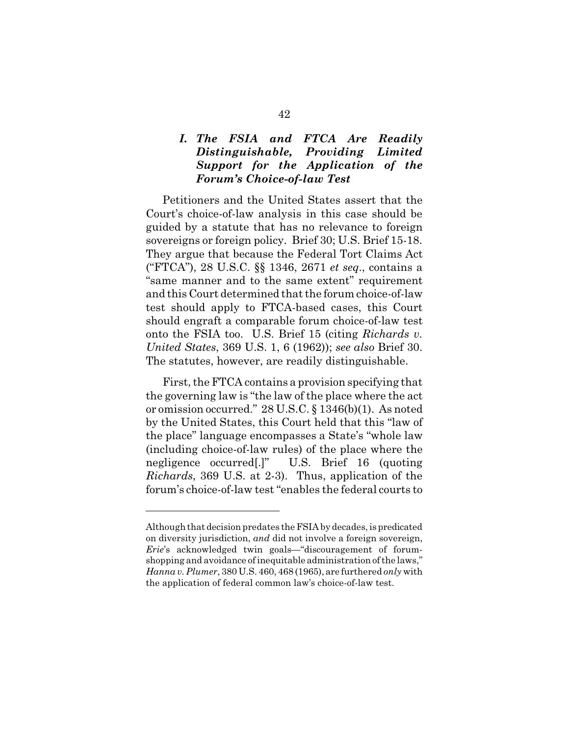# *I. The FSIA and FTCA Are Readily Distinguishable, Providing Limited Support for the Application of the Forum's Choice-of-law Test*

Petitioners and the United States assert that the Court's choice-of-law analysis in this case should be guided by a statute that has no relevance to foreign sovereigns or foreign policy. Brief 30; U.S. Brief 15-18. They argue that because the Federal Tort Claims Act ("FTCA"), 28 U.S.C. §§ 1346, 2671 *et seq*., contains a "same manner and to the same extent" requirement and this Court determined that the forum choice-of-law test should apply to FTCA-based cases, this Court should engraft a comparable forum choice-of-law test onto the FSIA too. U.S. Brief 15 (citing *Richards v. United States*, 369 U.S. 1, 6 (1962)); *see also* Brief 30. The statutes, however, are readily distinguishable.

First, the FTCA contains a provision specifying that the governing law is "the law of the place where the act or omission occurred." 28 U.S.C. § 1346(b)(1). As noted by the United States, this Court held that this "law of the place" language encompasses a State's "whole law (including choice-of-law rules) of the place where the negligence occurred[.]" U.S. Brief 16 (quoting *Richards*, 369 U.S. at 2-3). Thus, application of the forum's choice-of-law test "enables the federal courts to

Although that decision predates theFSIA by decades, is predicated on diversity jurisdiction, *and* did not involve a foreign sovereign, *Erie*'s acknowledged twin goals—"discouragement of forumshopping and avoidance of inequitable administration of the laws," *Hanna v. Plumer*, 380 U.S. 460, 468 (1965), are furthered *only* with the application of federal common law's choice-of-law test.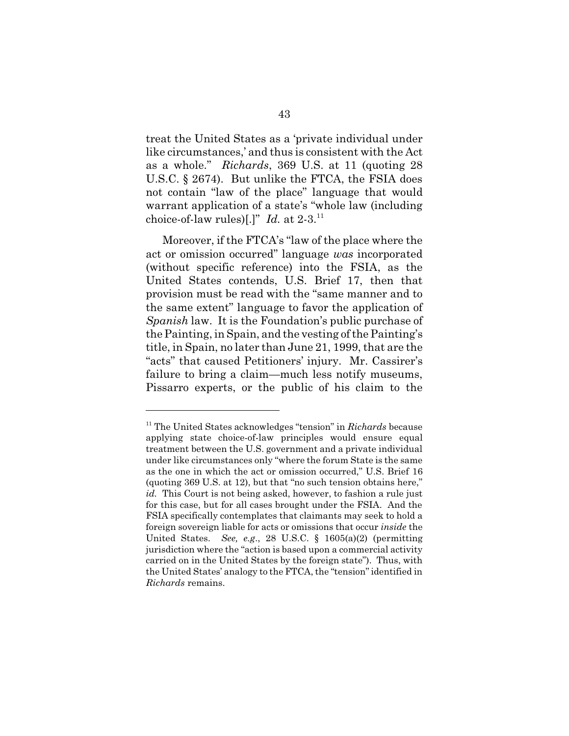treat the United States as a 'private individual under like circumstances,' and thus is consistent with the Act as a whole." *Richards*, 369 U.S. at 11 (quoting 28 U.S.C. § 2674). But unlike the FTCA, the FSIA does not contain "law of the place" language that would warrant application of a state's "whole law (including choice-of-law rules)[.]" *Id.* at 2-3.<sup>11</sup>

Moreover, if the FTCA's "law of the place where the act or omission occurred" language *was* incorporated (without specific reference) into the FSIA, as the United States contends, U.S. Brief 17, then that provision must be read with the "same manner and to the same extent" language to favor the application of *Spanish* law. It is the Foundation's public purchase of the Painting, in Spain, and the vesting of the Painting's title, in Spain, no later than June 21, 1999, that are the "acts" that caused Petitioners' injury. Mr. Cassirer's failure to bring a claim—much less notify museums, Pissarro experts, or the public of his claim to the

<sup>11</sup> The United States acknowledges "tension" in *Richards* because applying state choice-of-law principles would ensure equal treatment between the U.S. government and a private individual under like circumstances only "where the forum State is the same as the one in which the act or omission occurred," U.S. Brief 16 (quoting 369 U.S. at 12), but that "no such tension obtains here," *id.* This Court is not being asked, however, to fashion a rule just for this case, but for all cases brought under the FSIA. And the FSIA specifically contemplates that claimants may seek to hold a foreign sovereign liable for acts or omissions that occur *inside* the United States. *See, e.g*., 28 U.S.C. § 1605(a)(2) (permitting jurisdiction where the "action is based upon a commercial activity carried on in the United States by the foreign state"). Thus, with the United States' analogy to the FTCA, the "tension" identified in *Richards* remains.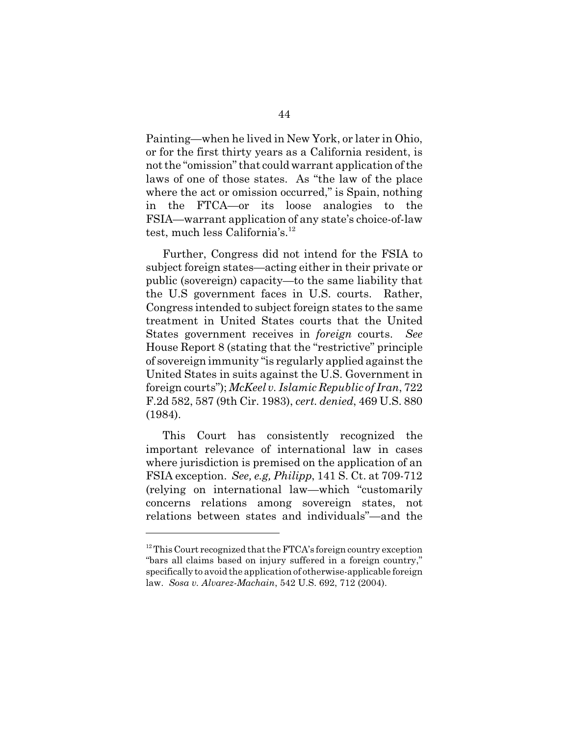Painting—when he lived in New York, or later in Ohio, or for the first thirty years as a California resident, is not the "omission" that could warrant application of the laws of one of those states. As "the law of the place where the act or omission occurred," is Spain, nothing in the FTCA—or its loose analogies to the FSIA—warrant application of any state's choice-of-law test, much less California's. $^{12}$ 

Further, Congress did not intend for the FSIA to subject foreign states—acting either in their private or public (sovereign) capacity—to the same liability that the U.S government faces in U.S. courts. Rather, Congress intended to subject foreign states to the same treatment in United States courts that the United States government receives in *foreign* courts. *See* House Report 8 (stating that the "restrictive" principle of sovereign immunity "is regularly applied against the United States in suits against the U.S. Government in foreign courts"); *McKeel v. Islamic Republic of Iran*, 722 F.2d 582, 587 (9th Cir. 1983), *cert. denied*, 469 U.S. 880 (1984).

This Court has consistently recognized the important relevance of international law in cases where jurisdiction is premised on the application of an FSIA exception. *See, e.g, Philipp*, 141 S. Ct. at 709-712 (relying on international law—which "customarily concerns relations among sovereign states, not relations between states and individuals"—and the

<sup>&</sup>lt;sup>12</sup> This Court recognized that the FTCA's foreign country exception "bars all claims based on injury suffered in a foreign country," specifically to avoid the application of otherwise-applicable foreign law. *Sosa v. Alvarez-Machain*, 542 U.S. 692, 712 (2004).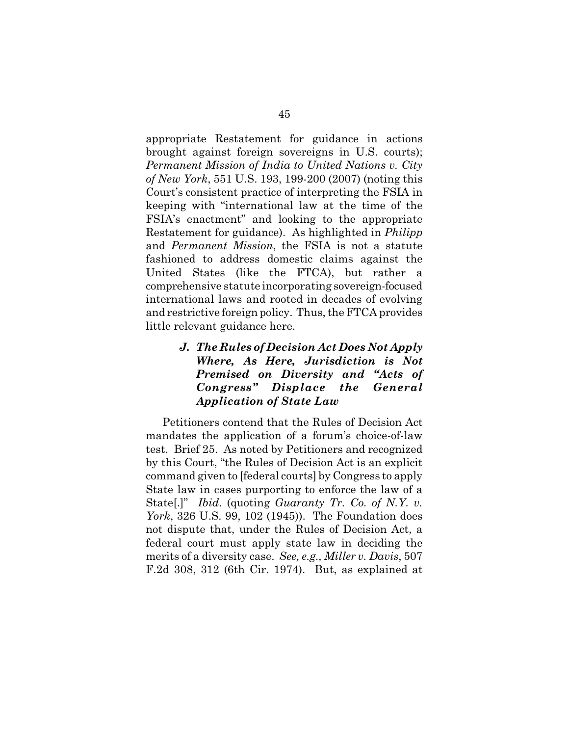appropriate Restatement for guidance in actions brought against foreign sovereigns in U.S. courts); *Permanent Mission of India to United Nations v. City of New York*, 551 U.S. 193, 199-200 (2007) (noting this Court's consistent practice of interpreting the FSIA in keeping with "international law at the time of the FSIA's enactment" and looking to the appropriate Restatement for guidance). As highlighted in *Philipp* and *Permanent Mission*, the FSIA is not a statute fashioned to address domestic claims against the United States (like the FTCA), but rather a comprehensive statute incorporating sovereign-focused international laws and rooted in decades of evolving and restrictive foreign policy. Thus, the FTCA provides little relevant guidance here.

# *J. The Rules of Decision Act Does Not Apply Where, As Here, Jurisdiction is Not Premised on Diversity and "Acts of Congress" Displace the General Application of State Law*

Petitioners contend that the Rules of Decision Act mandates the application of a forum's choice-of-law test. Brief 25. As noted by Petitioners and recognized by this Court, "the Rules of Decision Act is an explicit command given to [federal courts] by Congress to apply State law in cases purporting to enforce the law of a State[.]" *Ibid*. (quoting *Guaranty Tr. Co. of N.Y. v. York*, 326 U.S. 99, 102 (1945)). The Foundation does not dispute that, under the Rules of Decision Act, a federal court must apply state law in deciding the merits of a diversity case. *See, e.g., Miller v. Davis*, 507 F.2d 308, 312 (6th Cir. 1974). But, as explained at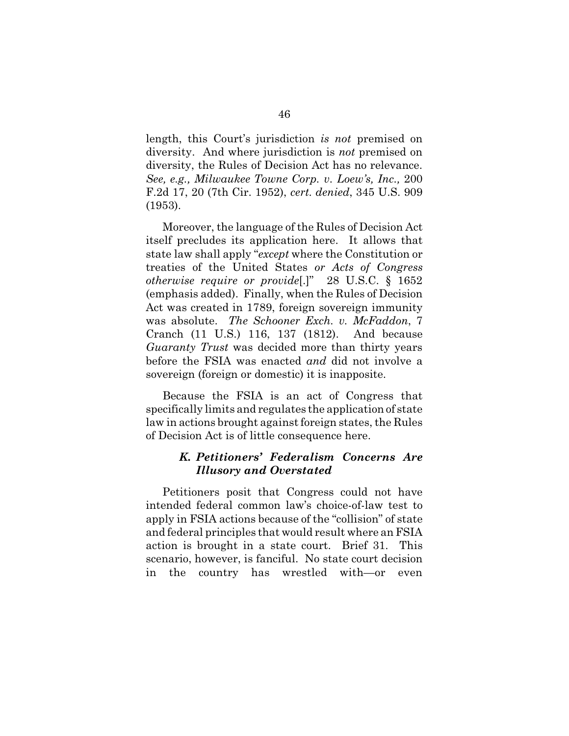length, this Court's jurisdiction *is not* premised on diversity. And where jurisdiction is *not* premised on diversity, the Rules of Decision Act has no relevance. *See, e.g., Milwaukee Towne Corp. v. Loew's, Inc.,* 200 F.2d 17, 20 (7th Cir. 1952), *cert. denied*, 345 U.S. 909 (1953).

Moreover, the language of the Rules of Decision Act itself precludes its application here. It allows that state law shall apply "*except* where the Constitution or treaties of the United States *or Acts of Congress otherwise require or provide*[.]" 28 U.S.C. § 1652 (emphasis added). Finally, when the Rules of Decision Act was created in 1789, foreign sovereign immunity was absolute. *The Schooner Exch. v. McFaddon*, 7 Cranch (11 U.S.) 116, 137 (1812). And because *Guaranty Trust* was decided more than thirty years before the FSIA was enacted *and* did not involve a sovereign (foreign or domestic) it is inapposite.

Because the FSIA is an act of Congress that specifically limits and regulates the application of state law in actions brought against foreign states, the Rules of Decision Act is of little consequence here.

# *K. Petitioners' Federalism Concerns Are Illusory and Overstated*

Petitioners posit that Congress could not have intended federal common law's choice-of-law test to apply in FSIA actions because of the "collision" of state and federal principles that would result where an FSIA action is brought in a state court. Brief 31. This scenario, however, is fanciful. No state court decision in the country has wrestled with—or even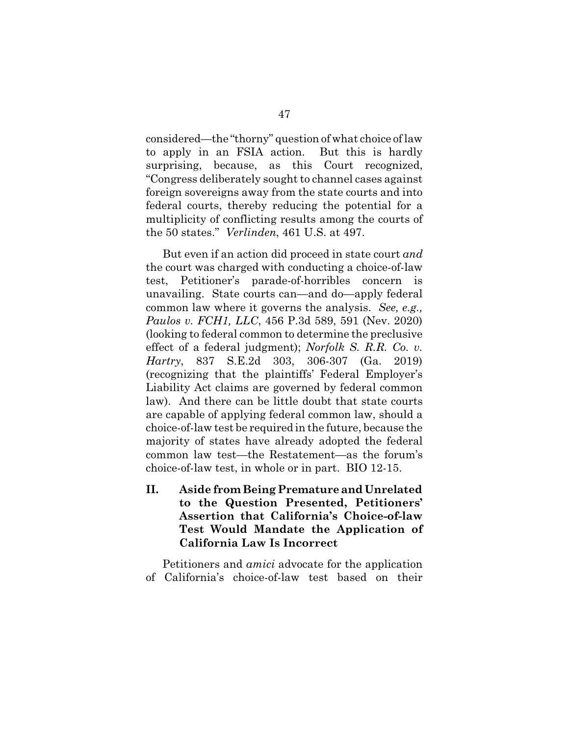considered—the "thorny" question of what choice of law to apply in an FSIA action. But this is hardly surprising, because, as this Court recognized, "Congress deliberately sought to channel cases against foreign sovereigns away from the state courts and into federal courts, thereby reducing the potential for a multiplicity of conflicting results among the courts of the 50 states." *Verlinden*, 461 U.S. at 497.

But even if an action did proceed in state court *and* the court was charged with conducting a choice-of-law test, Petitioner's parade-of-horribles concern is unavailing. State courts can—and do—apply federal common law where it governs the analysis. *See, e.g., Paulos v. FCH1, LLC*, 456 P.3d 589, 591 (Nev. 2020) (looking to federal common to determine the preclusive effect of a federal judgment); *Norfolk S. R.R. Co. v. Hartry*, 837 S.E.2d 303, 306-307 (Ga. 2019) (recognizing that the plaintiffs' Federal Employer's Liability Act claims are governed by federal common law). And there can be little doubt that state courts are capable of applying federal common law, should a choice-of-law test be required in the future, because the majority of states have already adopted the federal common law test—the Restatement—as the forum's choice-of-law test, in whole or in part. BIO 12-15.

**II. Aside from Being Premature and Unrelated to the Question Presented, Petitioners' Assertion that California's Choice-of-law Test Would Mandate the Application of California Law Is Incorrect**

Petitioners and *amici* advocate for the application of California's choice-of-law test based on their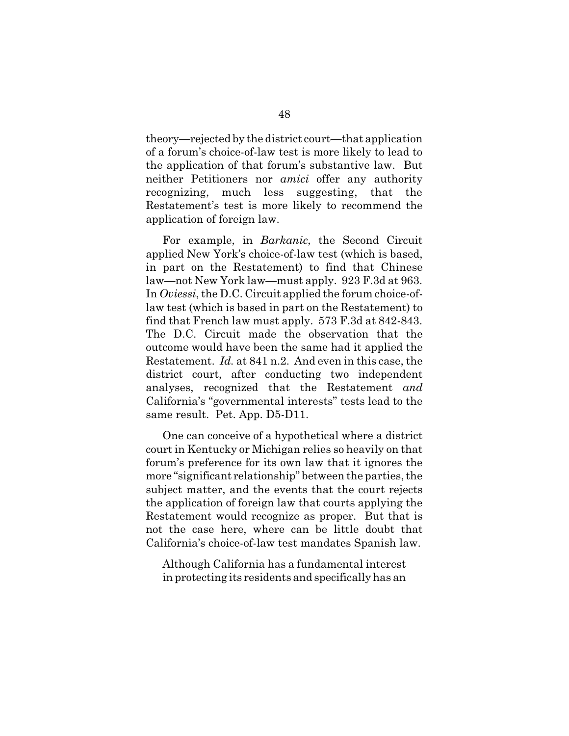theory—rejected by the district court—that application of a forum's choice-of-law test is more likely to lead to the application of that forum's substantive law. But neither Petitioners nor *amici* offer any authority recognizing, much less suggesting, that the Restatement's test is more likely to recommend the application of foreign law.

For example, in *Barkanic*, the Second Circuit applied New York's choice-of-law test (which is based, in part on the Restatement) to find that Chinese law—not New York law—must apply. 923 F.3d at 963. In *Oviessi*, the D.C. Circuit applied the forum choice-oflaw test (which is based in part on the Restatement) to find that French law must apply. 573 F.3d at 842-843. The D.C. Circuit made the observation that the outcome would have been the same had it applied the Restatement. *Id.* at 841 n.2. And even in this case, the district court, after conducting two independent analyses, recognized that the Restatement *and* California's "governmental interests" tests lead to the same result. Pet. App. D5-D11.

One can conceive of a hypothetical where a district court in Kentucky or Michigan relies so heavily on that forum's preference for its own law that it ignores the more "significant relationship" between the parties, the subject matter, and the events that the court rejects the application of foreign law that courts applying the Restatement would recognize as proper. But that is not the case here, where can be little doubt that California's choice-of-law test mandates Spanish law.

Although California has a fundamental interest in protecting its residents and specifically has an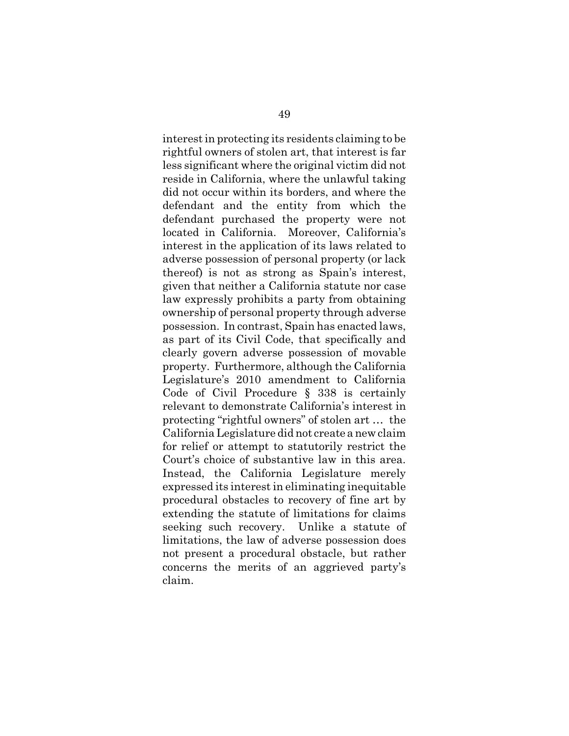interest in protecting its residents claiming to be rightful owners of stolen art, that interest is far less significant where the original victim did not reside in California, where the unlawful taking did not occur within its borders, and where the defendant and the entity from which the defendant purchased the property were not located in California. Moreover, California's interest in the application of its laws related to adverse possession of personal property (or lack thereof) is not as strong as Spain's interest, given that neither a California statute nor case law expressly prohibits a party from obtaining ownership of personal property through adverse possession. In contrast, Spain has enacted laws, as part of its Civil Code, that specifically and clearly govern adverse possession of movable property. Furthermore, although the California Legislature's 2010 amendment to California Code of Civil Procedure § 338 is certainly relevant to demonstrate California's interest in protecting "rightful owners" of stolen art … the California Legislature did not create anew claim for relief or attempt to statutorily restrict the Court's choice of substantive law in this area. Instead, the California Legislature merely expressed its interest in eliminating inequitable procedural obstacles to recovery of fine art by extending the statute of limitations for claims seeking such recovery. Unlike a statute of limitations, the law of adverse possession does not present a procedural obstacle, but rather concerns the merits of an aggrieved party's claim.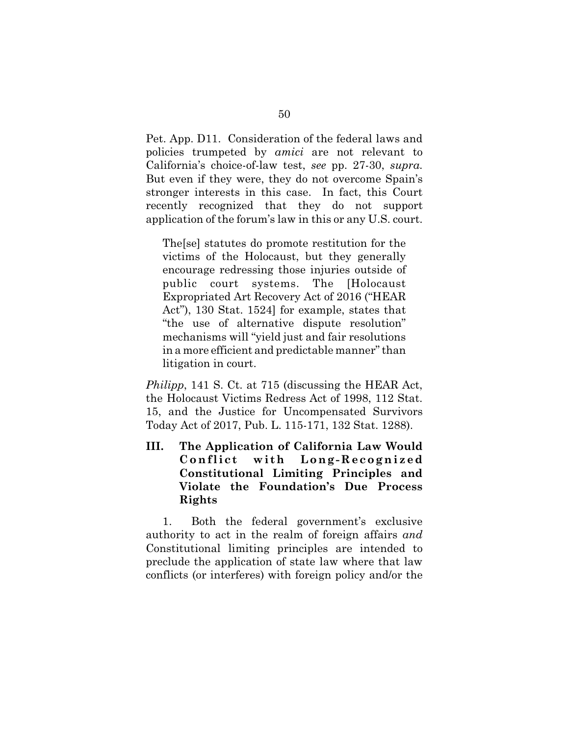Pet. App. D11. Consideration of the federal laws and policies trumpeted by *amici* are not relevant to California's choice-of-law test, *see* pp. 27-30, *supra*. But even if they were, they do not overcome Spain's stronger interests in this case. In fact, this Court recently recognized that they do not support application of the forum's law in this or any U.S. court.

The[se] statutes do promote restitution for the victims of the Holocaust, but they generally encourage redressing those injuries outside of public court systems. The [Holocaust Expropriated Art Recovery Act of 2016 ("HEAR Act"), 130 Stat. 1524] for example, states that "the use of alternative dispute resolution" mechanisms will "yield just and fair resolutions in a more efficient and predictable manner" than litigation in court.

*Philipp*, 141 S. Ct. at 715 (discussing the HEAR Act, the Holocaust Victims Redress Act of 1998, 112 Stat. 15, and the Justice for Uncompensated Survivors Today Act of 2017, Pub. L. 115-171, 132 Stat. 1288).

**III. The Application of California Law Would Confli ct wi th Long- R ecogni z ed Constitutional Limiting Principles and Violate the Foundation's Due Process Rights**

1. Both the federal government's exclusive authority to act in the realm of foreign affairs *and* Constitutional limiting principles are intended to preclude the application of state law where that law conflicts (or interferes) with foreign policy and/or the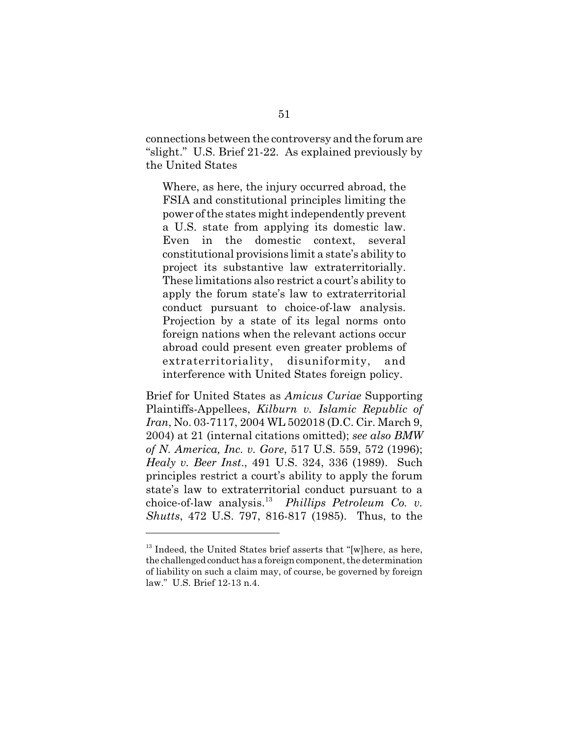connections between the controversy and the forum are "slight." U.S. Brief 21-22. As explained previously by the United States

Where, as here, the injury occurred abroad, the FSIA and constitutional principles limiting the power of the states might independently prevent a U.S. state from applying its domestic law. Even in the domestic context, several constitutional provisions limit a state's ability to project its substantive law extraterritorially. These limitations also restrict a court's ability to apply the forum state's law to extraterritorial conduct pursuant to choice-of-law analysis. Projection by a state of its legal norms onto foreign nations when the relevant actions occur abroad could present even greater problems of extraterritoriality, disuniformity, and interference with United States foreign policy.

Brief for United States as *Amicus Curiae* Supporting Plaintiffs-Appellees, *Kilburn v. Islamic Republic of Iran*, No. 03-7117, 2004 WL 502018 (D.C. Cir. March 9, 2004) at 21 (internal citations omitted); *see also BMW of N. America, Inc. v. Gore*, 517 U.S. 559, 572 (1996); *Healy v. Beer Inst*., 491 U.S. 324, 336 (1989). Such principles restrict a court's ability to apply the forum state's law to extraterritorial conduct pursuant to a choice-of-law analysis. <sup>13</sup> *Phillips Petroleum Co. v. Shutts*, 472 U.S. 797, 816-817 (1985). Thus, to the

<sup>&</sup>lt;sup>13</sup> Indeed, the United States brief asserts that "[w]here, as here, the challenged conduct has a foreign component, the determination of liability on such a claim may, of course, be governed by foreign law." U.S. Brief 12-13 n.4.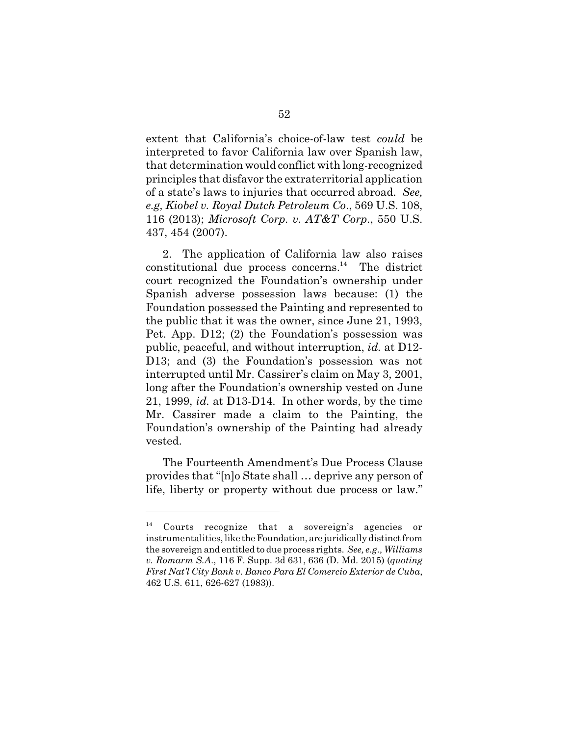extent that California's choice-of-law test *could* be interpreted to favor California law over Spanish law, that determination would conflict with long-recognized principles that disfavor the extraterritorial application of a state's laws to injuries that occurred abroad. *See, e.g, Kiobel v. Royal Dutch Petroleum Co*., 569 U.S. 108, 116 (2013); *Microsoft Corp. v. AT&T Corp*., 550 U.S. 437, 454 (2007).

2. The application of California law also raises  $\alpha$ constitutional due process concerns.<sup>14</sup> The district court recognized the Foundation's ownership under Spanish adverse possession laws because: (1) the Foundation possessed the Painting and represented to the public that it was the owner, since June 21, 1993, Pet. App. D12; (2) the Foundation's possession was public, peaceful, and without interruption, *id.* at D12- D13; and (3) the Foundation's possession was not interrupted until Mr. Cassirer's claim on May 3, 2001, long after the Foundation's ownership vested on June 21, 1999, *id.* at D13-D14. In other words, by the time Mr. Cassirer made a claim to the Painting, the Foundation's ownership of the Painting had already vested.

The Fourteenth Amendment's Due Process Clause provides that "[n]o State shall … deprive any person of life, liberty or property without due process or law."

<sup>&</sup>lt;sup>14</sup> Courts recognize that a sovereign's agencies or instrumentalities, like theFoundation, are juridically distinct from the sovereign and entitled to due process rights. *See, e.g., Williams v. Romarm S.A*., 116 F. Supp. 3d 631, 636 (D. Md. 2015) (*quoting First Nat'l City Bank v. Banco Para El Comercio Exterior de Cuba*, 462 U.S. 611, 626-627 (1983)).